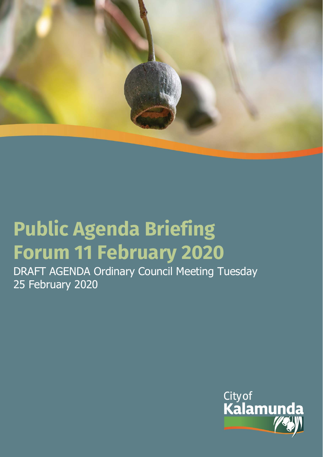

# **Public Agenda Briefing Forum 11 February 2020**

DRAFT AGENDA Ordinary Council Meeting Tuesday 25 February 2020

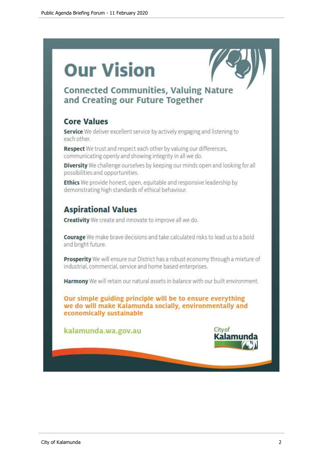# **Our Vision**



## **Connected Communities, Valuing Nature** and Creating our Future Together

## **Core Values**

Service We deliver excellent service by actively engaging and listening to each other.

Respect We trust and respect each other by valuing our differences, communicating openly and showing integrity in all we do.

Diversity We challenge ourselves by keeping our minds open and looking for all possibilities and opportunities.

Ethics We provide honest, open, equitable and responsive leadership by demonstrating high standards of ethical behaviour.

## **Aspirational Values**

**Creativity** We create and innovate to improve all we do.

Courage We make brave decisions and take calculated risks to lead us to a bold and bright future.

Prosperity We will ensure our District has a robust economy through a mixture of industrial, commercial, service and home based enterprises.

Harmony We will retain our natural assets in balance with our built environment.

Our simple guiding principle will be to ensure everything we do will make Kalamunda socially, environmentally and economically sustainable

kalamunda.wa.gov.au

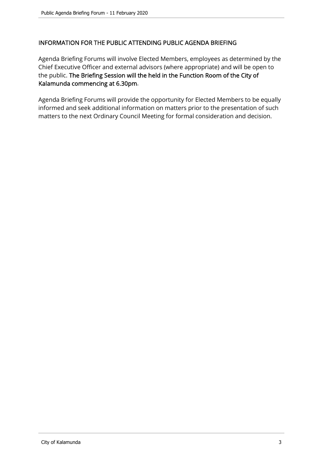## INFORMATION FOR THE PUBLIC ATTENDING PUBLIC AGENDA BRIEFING

Agenda Briefing Forums will involve Elected Members, employees as determined by the Chief Executive Officer and external advisors (where appropriate) and will be open to the public. The Briefing Session will the held in the Function Room of the City of Kalamunda commencing at 6.30pm.

Agenda Briefing Forums will provide the opportunity for Elected Members to be equally informed and seek additional information on matters prior to the presentation of such matters to the next Ordinary Council Meeting for formal consideration and decision.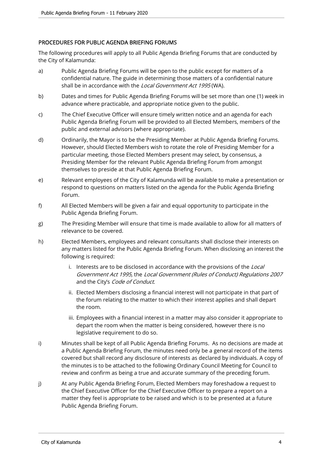#### PROCEDURES FOR PUBLIC AGENDA BRIEFING FORUMS

The following procedures will apply to all Public Agenda Briefing Forums that are conducted by the City of Kalamunda:

- a) Public Agenda Briefing Forums will be open to the public except for matters of a confidential nature. The guide in determining those matters of a confidential nature shall be in accordance with the Local Government Act 1995 (WA).
- b) Dates and times for Public Agenda Briefing Forums will be set more than one (1) week in advance where practicable, and appropriate notice given to the public.
- c) The Chief Executive Officer will ensure timely written notice and an agenda for each Public Agenda Briefing Forum will be provided to all Elected Members, members of the public and external advisors (where appropriate).
- d) Ordinarily, the Mayor is to be the Presiding Member at Public Agenda Briefing Forums. However, should Elected Members wish to rotate the role of Presiding Member for a particular meeting, those Elected Members present may select, by consensus, a Presiding Member for the relevant Public Agenda Briefing Forum from amongst themselves to preside at that Public Agenda Briefing Forum.
- e) Relevant employees of the City of Kalamunda will be available to make a presentation or respond to questions on matters listed on the agenda for the Public Agenda Briefing Forum.
- f) All Elected Members will be given a fair and equal opportunity to participate in the Public Agenda Briefing Forum.
- g) The Presiding Member will ensure that time is made available to allow for all matters of relevance to be covered.
- h) Elected Members, employees and relevant consultants shall disclose their interests on any matters listed for the Public Agenda Briefing Forum. When disclosing an interest the following is required:
	- i. Interests are to be disclosed in accordance with the provisions of the Local Government Act 1995, the Local Government (Rules of Conduct) Regulations 2007 and the City's Code of Conduct.
	- ii. Elected Members disclosing a financial interest will not participate in that part of the forum relating to the matter to which their interest applies and shall depart the room.
	- iii. Employees with a financial interest in a matter may also consider it appropriate to depart the room when the matter is being considered, however there is no legislative requirement to do so.
- i) Minutes shall be kept of all Public Agenda Briefing Forums. As no decisions are made at a Public Agenda Briefing Forum, the minutes need only be a general record of the items covered but shall record any disclosure of interests as declared by individuals. A copy of the minutes is to be attached to the following Ordinary Council Meeting for Council to review and confirm as being a true and accurate summary of the preceding forum.
- j) At any Public Agenda Briefing Forum, Elected Members may foreshadow a request to the Chief Executive Officer for the Chief Executive Officer to prepare a report on a matter they feel is appropriate to be raised and which is to be presented at a future Public Agenda Briefing Forum.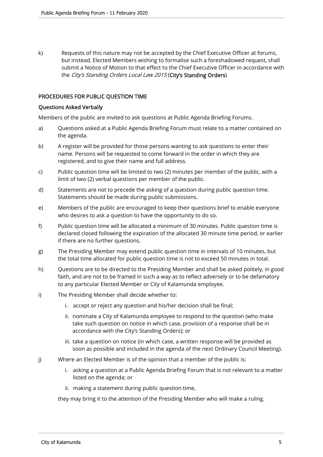k) Requests of this nature may not be accepted by the Chief Executive Officer at forums, but instead, Elected Members wishing to formalise such a foreshadowed request, shall submit a Notice of Motion to that effect to the Chief Executive Officer in accordance with the City's Standing Orders Local Law 2015 (City's Standing Orders)

#### PROCEDURES FOR PUBLIC QUESTION TIME

#### Questions Asked Verbally

Members of the public are invited to ask questions at Public Agenda Briefing Forums.

- a) Questions asked at a Public Agenda Briefing Forum must relate to a matter contained on the agenda.
- b) A register will be provided for those persons wanting to ask questions to enter their name. Persons will be requested to come forward in the order in which they are registered, and to give their name and full address.
- c) Public question time will be limited to two (2) minutes per member of the public, with a limit of two (2) verbal questions per member of the public.
- d) Statements are not to precede the asking of a question during public question time. Statements should be made during public submissions.
- e) Members of the public are encouraged to keep their questions brief to enable everyone who desires to ask a question to have the opportunity to do so.
- f) Public question time will be allocated a minimum of 30 minutes. Public question time is declared closed following the expiration of the allocated 30 minute time period, or earlier if there are no further questions.
- g) The Presiding Member may extend public question time in intervals of 10 minutes, but the total time allocated for public question time is not to exceed 50 minutes in total.
- h) Questions are to be directed to the Presiding Member and shall be asked politely, in good faith, and are not to be framed in such a way as to reflect adversely or to be defamatory to any particular Elected Member or City of Kalamunda employee.
- i) The Presiding Member shall decide whether to:
	- i. accept or reject any question and his/her decision shall be final;
	- ii. nominate a City of Kalamunda employee to respond to the question (who make take such question on notice in which case, provision of a response shall be in accordance with the City's Standing Orders); or
	- iii. take a question on notice (in which case, a written response will be provided as soon as possible and included in the agenda of the next Ordinary Council Meeting).
- j) Where an Elected Member is of the opinion that a member of the public is:
	- i. asking a question at a Public Agenda Briefing Forum that is not relevant to a matter listed on the agenda; or
	- ii. making a statement during public question time,

they may bring it to the attention of the Presiding Member who will make a ruling.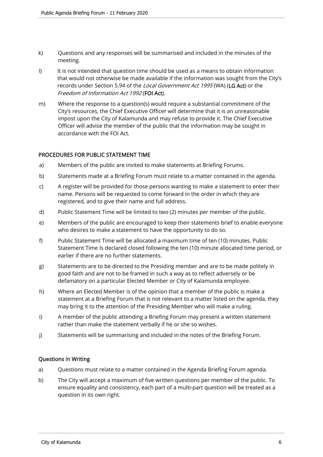- k) Questions and any responses will be summarised and included in the minutes of the meeting.
- l) It is not intended that question time should be used as a means to obtain information that would not otherwise be made available if the information was sought from the City's records under Section 5.94 of the Local Government Act 1995 (WA) (LG Act) or the Freedom of Information Act 1992 (FOI Act).
- m) Where the response to a question(s) would require a substantial commitment of the City's resources, the Chief Executive Officer will determine that it is an unreasonable impost upon the City of Kalamunda and may refuse to provide it. The Chief Executive Officer will advise the member of the public that the information may be sought in accordance with the FOI Act.

#### PROCEDURES FOR PUBLIC STATEMENT TIME

- a) Members of the public are invited to make statements at Briefing Forums.
- b) Statements made at a Briefing Forum must relate to a matter contained in the agenda.
- c) A register will be provided for those persons wanting to make a statement to enter their name. Persons will be requested to come forward in the order in which they are registered, and to give their name and full address.
- d) Public Statement Time will be limited to two (2) minutes per member of the public.
- e) Members of the public are encouraged to keep their statements brief to enable everyone who desires to make a statement to have the opportunity to do so.
- f) Public Statement Time will be allocated a maximum time of ten (10) minutes. Public Statement Time Is declared closed following the ten (10) minute allocated time period, or earlier if there are no further statements.
- g) Statements are to be directed to the Presiding member and are to be made politely in good faith and are not to be framed in such a way as to reflect adversely or be defamatory on a particular Elected Member or City of Kalamunda employee.
- h) Where an Elected Member is of the opinion that a member of the public is make a statement at a Briefing Forum that is not relevant to a matter listed on the agenda, they may bring it to the attention of the Presiding Member who will make a ruling.
- i) A member of the public attending a Briefing Forum may present a written statement rather than make the statement verbally if he or she so wishes.
- j) Statements will be summarising and included in the notes of the Briefing Forum.

#### Questions in Writing

- a) Questions must relate to a matter contained in the Agenda Briefing Forum agenda.
- b) The City will accept a maximum of five written questions per member of the public. To ensure equality and consistency, each part of a multi-part question will be treated as a question in its own right.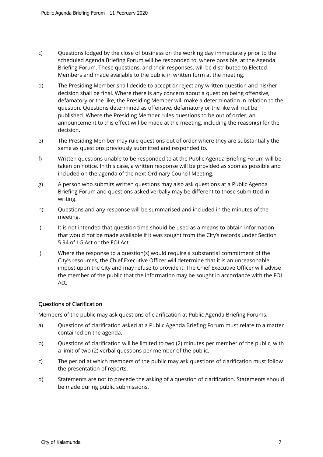- c) Questions lodged by the close of business on the working day immediately prior to the scheduled Agenda Briefing Forum will be responded to, where possible, at the Agenda Briefing Forum. These questions, and their responses, will be distributed to Elected Members and made available to the public in written form at the meeting.
- d) The Presiding Member shall decide to accept or reject any written question and his/her decision shall be final. Where there is any concern about a question being offensive, defamatory or the like, the Presiding Member will make a determination in relation to the question. Questions determined as offensive, defamatory or the like will not be published. Where the Presiding Member rules questions to be out of order, an announcement to this effect will be made at the meeting, including the reason(s) for the decision.
- e) The Presiding Member may rule questions out of order where they are substantially the same as questions previously submitted and responded to.
- f) Written questions unable to be responded to at the Public Agenda Briefing Forum will be taken on notice. In this case, a written response will be provided as soon as possible and included on the agenda of the next Ordinary Council Meeting.
- g) A person who submits written questions may also ask questions at a Public Agenda Briefing Forum and questions asked verbally may be different to those submitted in writing.
- h) Questions and any response will be summarised and included in the minutes of the meeting.
- i) It is not intended that question time should be used as a means to obtain information that would not be made available if it was sought from the City's records under Section 5.94 of LG Act or the FOI Act.
- j) Where the response to a question(s) would require a substantial commitment of the City's resources, the Chief Executive Officer will determine that it is an unreasonable impost upon the City and may refuse to provide it. The Chief Executive Officer will advise the member of the public that the information may be sought in accordance with the FOI Act.

#### Questions of Clarification

Members of the public may ask questions of clarification at Public Agenda Briefing Forums.

- a) Questions of clarification asked at a Public Agenda Briefing Forum must relate to a matter contained on the agenda.
- b) Questions of clarification will be limited to two (2) minutes per member of the public, with a limit of two (2) verbal questions per member of the public.
- c) The period at which members of the public may ask questions of clarification must follow the presentation of reports.
- d) Statements are not to precede the asking of a question of clarification. Statements should be made during public submissions.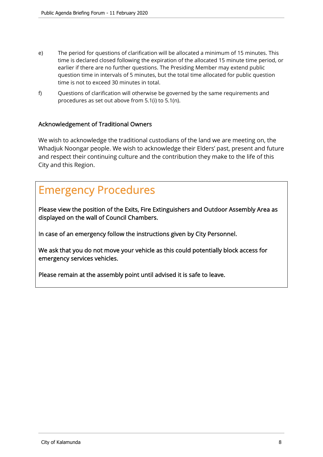- e) The period for questions of clarification will be allocated a minimum of 15 minutes. This time is declared closed following the expiration of the allocated 15 minute time period, or earlier if there are no further questions. The Presiding Member may extend public question time in intervals of 5 minutes, but the total time allocated for public question time is not to exceed 30 minutes in total.
- f) Questions of clarification will otherwise be governed by the same requirements and procedures as set out above from 5.1(i) to 5.1(n).

## Acknowledgement of Traditional Owners

We wish to acknowledge the traditional custodians of the land we are meeting on, the Whadjuk Noongar people. We wish to acknowledge their Elders' past, present and future and respect their continuing culture and the contribution they make to the life of this City and this Region.

# Emergency Procedures

Please view the position of the Exits, Fire Extinguishers and Outdoor Assembly Area as displayed on the wall of Council Chambers.

In case of an emergency follow the instructions given by City Personnel.

We ask that you do not move your vehicle as this could potentially block access for emergency services vehicles.

Please remain at the assembly point until advised it is safe to leave.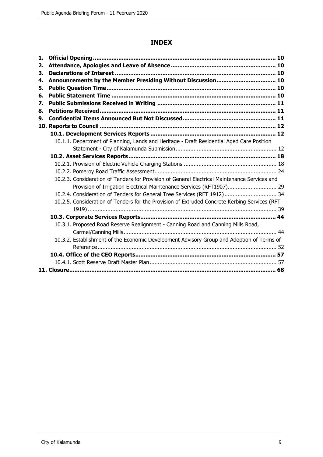## **INDEX**

| 1. |                                                                                               |  |
|----|-----------------------------------------------------------------------------------------------|--|
| 2. |                                                                                               |  |
| 3. |                                                                                               |  |
| 4. |                                                                                               |  |
| 5. |                                                                                               |  |
| 6. |                                                                                               |  |
| 7. |                                                                                               |  |
| 8. |                                                                                               |  |
| 9. |                                                                                               |  |
|    |                                                                                               |  |
|    |                                                                                               |  |
|    | 10.1.1. Department of Planning, Lands and Heritage - Draft Residential Aged Care Position     |  |
|    |                                                                                               |  |
|    |                                                                                               |  |
|    |                                                                                               |  |
|    |                                                                                               |  |
|    | 10.2.3. Consideration of Tenders for Provision of General Electrical Maintenance Services and |  |
|    | Provision of Irrigation Electrical Maintenance Services (RFT1907) 29                          |  |
|    | 10.2.4. Consideration of Tenders for General Tree Services (RFT 1912) 34                      |  |
|    | 10.2.5. Consideration of Tenders for the Provision of Extruded Concrete Kerbing Services (RFT |  |
|    |                                                                                               |  |
|    |                                                                                               |  |
|    | 10.3.1. Proposed Road Reserve Realignment - Canning Road and Canning Mills Road,              |  |
|    |                                                                                               |  |
|    | 10.3.2. Establishment of the Economic Development Advisory Group and Adoption of Terms of     |  |
|    |                                                                                               |  |
|    |                                                                                               |  |
|    |                                                                                               |  |
|    |                                                                                               |  |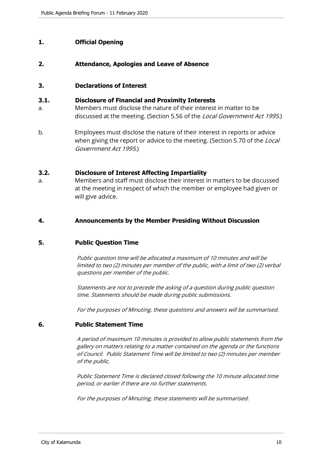## **1. Official Opening**

## **2. Attendance, Apologies and Leave of Absence**

## **3. Declarations of Interest**

#### **3.1. Disclosure of Financial and Proximity Interests**

- a. Members must disclose the nature of their interest in matter to be discussed at the meeting. (Section 5.56 of the *Local Government Act 1995*.)
- b. Employees must disclose the nature of their interest in reports or advice when giving the report or advice to the meeting. (Section 5.70 of the Local Government Act 1995.)

## **3.2. Disclosure of Interest Affecting Impartiality**

a. Members and staff must disclose their interest in matters to be discussed at the meeting in respect of which the member or employee had given or will give advice.

## **4. Announcements by the Member Presiding Without Discussion**

#### **5. Public Question Time**

Public question time will be allocated a maximum of 10 minutes and will be limited to two (2) minutes per member of the public, with a limit of two (2) verbal questions per member of the public.

Statements are not to precede the asking of a question during public question time. Statements should be made during public submissions.

For the purposes of Minuting, these questions and answers will be summarised.

#### **6. Public Statement Time**

A period of maximum 10 minutes is provided to allow public statements from the gallery on matters relating to a matter contained on the agenda or the functions of Council. Public Statement Time will be limited to two (2) minutes per member of the public.

Public Statement Time is declared closed following the 10 minute allocated time period, or earlier if there are no further statements.

For the purposes of Minuting, these statements will be summarised.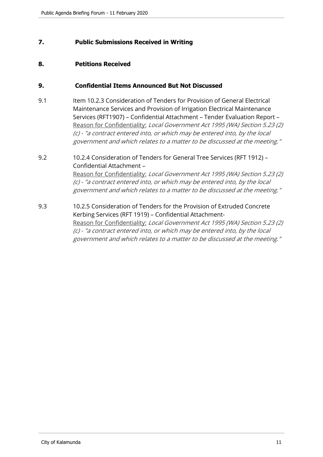## **7. Public Submissions Received in Writing**

## **8. Petitions Received**

## **9. Confidential Items Announced But Not Discussed**

9.1 Item 10.2.3 Consideration of Tenders for Provision of General Electrical Maintenance Services and Provision of Irrigation Electrical Maintenance Services (RFT1907) – Confidential Attachment – Tender Evaluation Report – Reason for Confidentiality: Local Government Act 1995 (WA) Section 5.23 (2) (c) - "a contract entered into, or which may be entered into, by the local government and which relates to a matter to be discussed at the meeting."

## 9.2 10.2.4 Consideration of Tenders for General Tree Services (RFT 1912) – Confidential Attachment – Reason for Confidentiality: Local Government Act 1995 (WA) Section 5.23 (2) (c) - "a contract entered into, or which may be entered into, by the local

government and which relates to a matter to be discussed at the meeting."

9.3 10.2.5 Consideration of Tenders for the Provision of Extruded Concrete Kerbing Services (RFT 1919) – Confidential Attachment-Reason for Confidentiality: Local Government Act 1995 (WA) Section 5.23 (2) (c) - "a contract entered into, or which may be entered into, by the local government and which relates to a matter to be discussed at the meeting."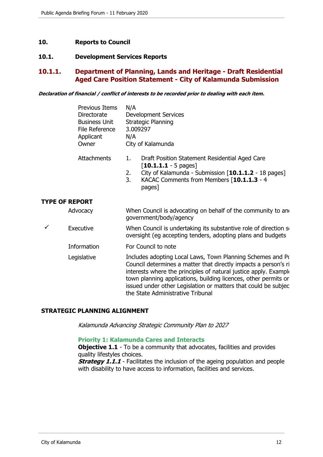## **10. Reports to Council**

#### **10.1. Development Services Reports**

## **10.1.1. Department of Planning, Lands and Heritage - Draft Residential Aged Care Position Statement - City of Kalamunda Submission**

**Declaration of financial / conflict of interests to be recorded prior to dealing with each item.** 

|              | <b>Previous Items</b><br>Directorate<br><b>Business Unit</b><br>File Reference<br>Applicant<br>Owner | N/A<br><b>Development Services</b><br><b>Strategic Planning</b><br>3.009297<br>N/A<br>City of Kalamunda                                                                                                                                                                                                                                                                     |
|--------------|------------------------------------------------------------------------------------------------------|-----------------------------------------------------------------------------------------------------------------------------------------------------------------------------------------------------------------------------------------------------------------------------------------------------------------------------------------------------------------------------|
|              | Attachments                                                                                          | Draft Position Statement Residential Aged Care<br>1.<br>$[10.1.1.1 - 5$ pages]<br>City of Kalamunda - Submission [10.1.1.2 - 18 pages]<br>2.<br>3.<br>KACAC Comments from Members [10.1.1.3 - 4<br>pages]                                                                                                                                                                   |
|              | <b>TYPE OF REPORT</b>                                                                                |                                                                                                                                                                                                                                                                                                                                                                             |
|              | Advocacy                                                                                             | When Council is advocating on behalf of the community to and<br>government/body/agency                                                                                                                                                                                                                                                                                      |
| $\checkmark$ | Executive                                                                                            | When Council is undertaking its substantive role of direction set<br>oversight (eg accepting tenders, adopting plans and budgets                                                                                                                                                                                                                                            |
|              | Information                                                                                          | For Council to note                                                                                                                                                                                                                                                                                                                                                         |
|              | Legislative                                                                                          | Includes adopting Local Laws, Town Planning Schemes and Po<br>Council determines a matter that directly impacts a person's ri<br>interests where the principles of natural justice apply. Example<br>town planning applications, building licences, other permits or<br>issued under other Legislation or matters that could be subjec<br>the State Administrative Tribunal |

#### **STRATEGIC PLANNING ALIGNMENT**

Kalamunda Advancing Strategic Community Plan to 2027

#### **Priority 1: Kalamunda Cares and Interacts**

**Objective 1.1** - To be a community that advocates, facilities and provides quality lifestyles choices.

**Strategy 1.1.1** - Facilitates the inclusion of the ageing population and people with disability to have access to information, facilities and services.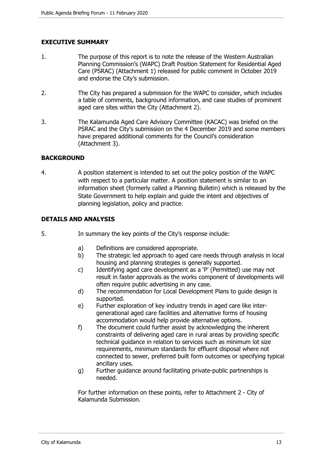## **EXECUTIVE SUMMARY**

- 1. The purpose of this report is to note the release of the Western Australian Planning Commission's (WAPC) Draft Position Statement for Residential Aged Care (PSRAC) (Attachment 1) released for public comment in October 2019 and endorse the City's submission.
- 2. The City has prepared a submission for the WAPC to consider, which includes a table of comments, background information, and case studies of prominent aged care sites within the City (Attachment 2).
- 3. The Kalamunda Aged Care Advisory Committee (KACAC) was briefed on the PSRAC and the City's submission on the 4 December 2019 and some members have prepared additional comments for the Council's consideration (Attachment 3).

## **BACKGROUND**

4. A position statement is intended to set out the policy position of the WAPC with respect to a particular matter. A position statement is similar to an information sheet (formerly called a Planning Bulletin) which is released by the State Government to help explain and guide the intent and objectives of planning legislation, policy and practice.

## **DETAILS AND ANALYSIS**

- 5. In summary the key points of the City's response include:
	- a) Definitions are considered appropriate.
	- b) The strategic led approach to aged care needs through analysis in local housing and planning strategies is generally supported.
	- c) Identifying aged care development as a 'P' (Permitted) use may not result in faster approvals as the works component of developments will often require public advertising in any case.
	- d) The recommendation for Local Development Plans to guide design is supported.
	- e) Further exploration of key industry trends in aged care like intergenerational aged care facilities and alternative forms of housing accommodation would help provide alternative options.
	- f) The document could further assist by acknowledging the inherent constraints of delivering aged care in rural areas by providing specific technical guidance in relation to services such as minimum lot size requirements, minimum standards for effluent disposal where not connected to sewer, preferred built form outcomes or specifying typical ancillary uses.
	- g) Further guidance around facilitating private-public partnerships is needed.

For further information on these points, refer to Attachment 2 - City of Kalamunda Submission.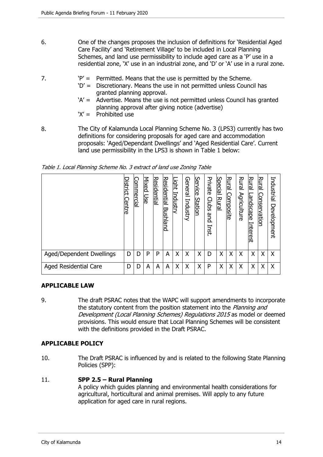- 6. One of the changes proposes the inclusion of definitions for 'Residential Aged Care Facility' and 'Retirement Village' to be included in Local Planning Schemes, and land use permissibility to include aged care as a 'P' use in a residential zone, 'X' use in an industrial zone, and 'D' or 'A' use in a rural zone.
- 7.  $P' =$  Permitted. Means that the use is permitted by the Scheme.
	- 'D' = Discretionary. Means the use in not permitted unless Council has granted planning approval.
	- 'A' = Advertise. Means the use is not permitted unless Council has granted planning approval after giving notice (advertise)
	- 'X' = Prohibited use
- 8. The City of Kalamunda Local Planning Scheme No. 3 (LPS3) currently has two definitions for considering proposals for aged care and accommodation proposals: 'Aged/Dependant Dwellings' and 'Aged Residential Care'. Current land use permissibility in the LPS3 is shown in Table 1 below:

|                              | District<br>Centre | <u>Commercial</u> | Mixed<br>Dse | <u>Residential</u> | <u>Residential</u><br><u>Bushland</u> | Light<br>Industry | General<br>Industry | <u>Service</u><br>Station | Private<br>Clubs<br>and<br>Inst. | <b>Special</b><br><b>Rural</b> | <b>Rural</b><br><u>Composite</u> | Rural<br>Agriculture | <b>Rural</b><br>andscape<br>Interest | Rural<br>Conservation | Industrial<br>Development |
|------------------------------|--------------------|-------------------|--------------|--------------------|---------------------------------------|-------------------|---------------------|---------------------------|----------------------------------|--------------------------------|----------------------------------|----------------------|--------------------------------------|-----------------------|---------------------------|
| Aged/Dependent Dwellings     | D                  | D                 | P            | P                  | A                                     | Χ                 | Χ                   | Χ                         | D                                | Χ                              | X                                | Χ                    | Χ                                    | Χ                     | Χ                         |
| <b>Aged Residential Care</b> | D                  | D                 | A            | A                  | A                                     | Χ                 | Χ                   | Χ                         | P                                | Χ                              | X                                | Χ                    | Χ                                    | Χ                     | Χ                         |

Table 1. Local Planning Scheme No. 3 extract of land use Zoning Table

## **APPLICABLE LAW**

9. The draft PSRAC notes that the WAPC will support amendments to incorporate the statutory content from the position statement into the *Planning and* Development (Local Planning Schemes) Regulations 2015 as model or deemed provisions. This would ensure that Local Planning Schemes will be consistent with the definitions provided in the Draft PSRAC.

## **APPLICABLE POLICY**

10. The Draft PSRAC is influenced by and is related to the following State Planning Policies (SPP):

#### 11. **SPP 2.5 – Rural Planning**

A policy which guides planning and environmental health considerations for agricultural, horticultural and animal premises. Will apply to any future application for aged care in rural regions.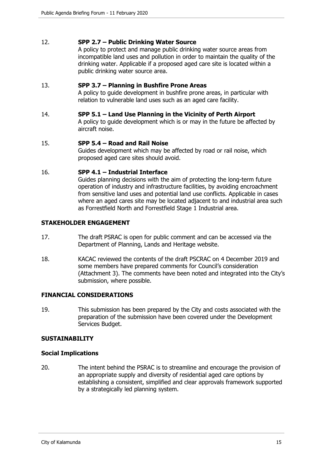## 12. **SPP 2.7 – Public Drinking Water Source**

A policy to protect and manage public drinking water source areas from incompatible land uses and pollution in order to maintain the quality of the drinking water. Applicable if a proposed aged care site is located within a public drinking water source area.

#### 13. **SPP 3.7 – Planning in Bushfire Prone Areas**

A policy to guide development in bushfire prone areas, in particular with relation to vulnerable land uses such as an aged care facility.

#### 14. **SPP 5.1 – Land Use Planning in the Vicinity of Perth Airport**

A policy to guide development which is or may in the future be affected by aircraft noise.

#### 15. **SPP 5.4 – Road and Rail Noise**

Guides development which may be affected by road or rail noise, which proposed aged care sites should avoid.

#### 16. **SPP 4.1 – Industrial Interface**

Guides planning decisions with the aim of protecting the long-term future operation of industry and infrastructure facilities, by avoiding encroachment from sensitive land uses and potential land use conflicts. Applicable in cases where an aged cares site may be located adjacent to and industrial area such as Forrestfield North and Forrestfield Stage 1 Industrial area.

#### **STAKEHOLDER ENGAGEMENT**

- 17. The draft PSRAC is open for public comment and can be accessed via the Department of Planning, Lands and Heritage website.
- 18. KACAC reviewed the contents of the draft PSCRAC on 4 December 2019 and some members have prepared comments for Council's consideration (Attachment 3). The comments have been noted and integrated into the City's submission, where possible.

## **FINANCIAL CONSIDERATIONS**

19. This submission has been prepared by the City and costs associated with the preparation of the submission have been covered under the Development Services Budget.

#### **SUSTAINABILITY**

#### **Social Implications**

20. The intent behind the PSRAC is to streamline and encourage the provision of an appropriate supply and diversity of residential aged care options by establishing a consistent, simplified and clear approvals framework supported by a strategically led planning system.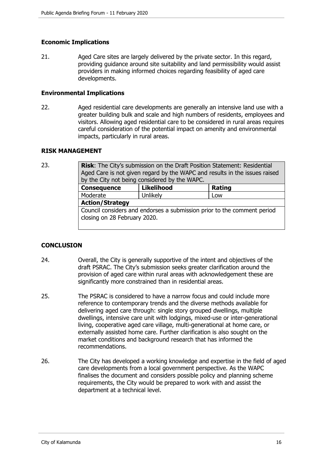## **Economic Implications**

21. Aged Care sites are largely delivered by the private sector. In this regard, providing guidance around site suitability and land permissibility would assist providers in making informed choices regarding feasibility of aged care developments.

#### **Environmental Implications**

22. Aged residential care developments are generally an intensive land use with a greater building bulk and scale and high numbers of residents, employees and visitors. Allowing aged residential care to be considered in rural areas requires careful consideration of the potential impact on amenity and environmental impacts, particularly in rural areas.

#### **RISK MANAGEMENT**

23. **Risk**: The City's submission on the Draft Position Statement: Residential Aged Care is not given regard by the WAPC and results in the issues raised by the City not being considered by the WAPC.

| <b>Consequence</b>                                                                                      | <b>Likelihood</b> | Rating |  |  |  |  |
|---------------------------------------------------------------------------------------------------------|-------------------|--------|--|--|--|--|
| Moderate                                                                                                | Unlikely          | Low    |  |  |  |  |
| <b>Action/Strategy</b>                                                                                  |                   |        |  |  |  |  |
| Council considers and endorses a submission prior to the comment period<br>closing on 28 February 2020. |                   |        |  |  |  |  |

## **CONCLUSION**

- 24. Overall, the City is generally supportive of the intent and objectives of the draft PSRAC. The City's submission seeks greater clarification around the provision of aged care within rural areas with acknowledgement these are significantly more constrained than in residential areas.
- 25. The PSRAC is considered to have a narrow focus and could include more reference to contemporary trends and the diverse methods available for delivering aged care through: single story grouped dwellings, multiple dwellings, intensive care unit with lodgings, mixed-use or inter-generational living, cooperative aged care village, multi-generational at home care, or externally assisted home care. Further clarification is also sought on the market conditions and background research that has informed the recommendations.
- 26. The City has developed a working knowledge and expertise in the field of aged care developments from a local government perspective. As the WAPC finalises the document and considers possible policy and planning scheme requirements, the City would be prepared to work with and assist the department at a technical level.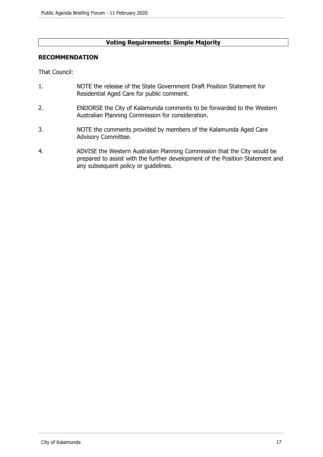## **Voting Requirements: Simple Majority**

## **RECOMMENDATION**

That Council:

- 1. NOTE the release of the State Government Draft Position Statement for Residential Aged Care for public comment.
- 2. ENDORSE the City of Kalamunda comments to be forwarded to the Western Australian Planning Commission for consideration.
- 3. NOTE the comments provided by members of the Kalamunda Aged Care Advisory Committee.
- 4. ADVISE the Western Australian Planning Commission that the City would be prepared to assist with the further development of the Position Statement and any subsequent policy or guidelines.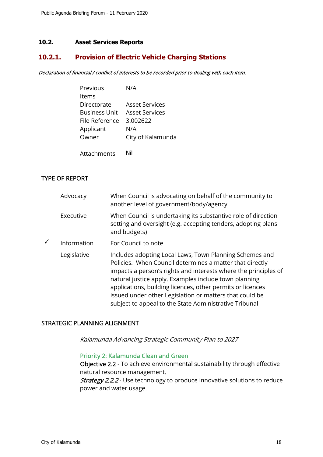## **10.2. Asset Services Reports**

## **10.2.1. Provision of Electric Vehicle Charging Stations**

Declaration of financial / conflict of interests to be recorded prior to dealing with each item.

| Previous       | N/A                   |
|----------------|-----------------------|
| Items          |                       |
| Directorate    | Asset Services        |
| Business Unit  | <b>Asset Services</b> |
| File Reference | 3.002622              |
| Applicant      | N/A                   |
| Owner          | City of Kalamunda     |
|                |                       |
| Attachments    | Nil                   |

## TYPE OF REPORT

| Advocacy    | When Council is advocating on behalf of the community to<br>another level of government/body/agency                                                                                                                                                                                                                                                                                                                                |
|-------------|------------------------------------------------------------------------------------------------------------------------------------------------------------------------------------------------------------------------------------------------------------------------------------------------------------------------------------------------------------------------------------------------------------------------------------|
| Executive   | When Council is undertaking its substantive role of direction<br>setting and oversight (e.g. accepting tenders, adopting plans<br>and budgets)                                                                                                                                                                                                                                                                                     |
| Information | For Council to note                                                                                                                                                                                                                                                                                                                                                                                                                |
| Legislative | Includes adopting Local Laws, Town Planning Schemes and<br>Policies. When Council determines a matter that directly<br>impacts a person's rights and interests where the principles of<br>natural justice apply. Examples include town planning<br>applications, building licences, other permits or licences<br>issued under other Legislation or matters that could be<br>subject to appeal to the State Administrative Tribunal |

#### STRATEGIC PLANNING ALIGNMENT

Kalamunda Advancing Strategic Community Plan to 2027

## Priority 2: Kalamunda Clean and Green

Objective 2.2 - To achieve environmental sustainability through effective natural resource management.

**Strategy 2.2.2** - Use technology to produce innovative solutions to reduce power and water usage.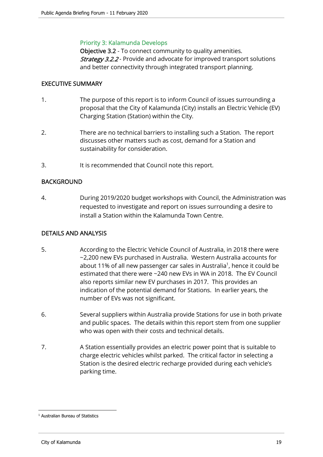## Priority 3: Kalamunda Develops

Objective 3.2 - To connect community to quality amenities. **Strategy 3.2.2** - Provide and advocate for improved transport solutions and better connectivity through integrated transport planning.

## EXECUTIVE SUMMARY

- 1. The purpose of this report is to inform Council of issues surrounding a proposal that the City of Kalamunda (City) installs an Electric Vehicle (EV) Charging Station (Station) within the City.
- 2. There are no technical barriers to installing such a Station. The report discusses other matters such as cost, demand for a Station and sustainability for consideration.
- 3. It is recommended that Council note this report.

## BACKGROUND

4. During 2019/2020 budget workshops with Council, the Administration was requested to investigate and report on issues surrounding a desire to install a Station within the Kalamunda Town Centre.

## DETAILS AND ANALYSIS

- 5. According to the Electric Vehicle Council of Australia, in 2018 there were ~2,200 new EVs purchased in Australia. Western Australia accounts for about 11% of all new passenger car sales in Australia<sup>1</sup>, hence it could be estimated that there were ~240 new EVs in WA in 2018. The EV Council also reports similar new EV purchases in 2017. This provides an indication of the potential demand for Stations. In earlier years, the number of EVs was not significant.
- 6. Several suppliers within Australia provide Stations for use in both private and public spaces. The details within this report stem from one supplier who was open with their costs and technical details.
- 7. A Station essentially provides an electric power point that is suitable to charge electric vehicles whilst parked. The critical factor in selecting a Station is the desired electric recharge provided during each vehicle's parking time.

<sup>1</sup> Australian Bureau of Statistics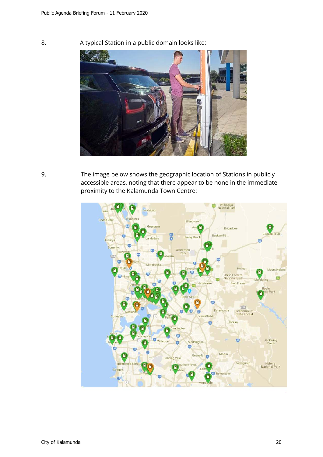8. A typical Station in a public domain looks like:



9. The image below shows the geographic location of Stations in publicly accessible areas, noting that there appear to be none in the immediate proximity to the Kalamunda Town Centre:

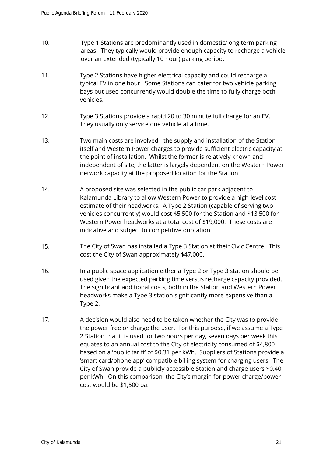- 10. Type 1 Stations are predominantly used in domestic/long term parking areas. They typically would provide enough capacity to recharge a vehicle over an extended (typically 10 hour) parking period.
- 11. Type 2 Stations have higher electrical capacity and could recharge a typical EV in one hour. Some Stations can cater for two vehicle parking bays but used concurrently would double the time to fully charge both vehicles.
- 12. Type 3 Stations provide a rapid 20 to 30 minute full charge for an EV. They usually only service one vehicle at a time.
- 13. Two main costs are involved the supply and installation of the Station itself and Western Power charges to provide sufficient electric capacity at the point of installation. Whilst the former is relatively known and independent of site, the latter is largely dependent on the Western Power network capacity at the proposed location for the Station.
- 14. A proposed site was selected in the public car park adjacent to Kalamunda Library to allow Western Power to provide a high-level cost estimate of their headworks. A Type 2 Station (capable of serving two vehicles concurrently) would cost \$5,500 for the Station and \$13,500 for Western Power headworks at a total cost of \$19,000. These costs are indicative and subject to competitive quotation.
- 15. The City of Swan has installed a Type 3 Station at their Civic Centre. This cost the City of Swan approximately \$47,000.
- 16. In a public space application either a Type 2 or Type 3 station should be used given the expected parking time versus recharge capacity provided. The significant additional costs, both in the Station and Western Power headworks make a Type 3 station significantly more expensive than a Type 2.
- 17. A decision would also need to be taken whether the City was to provide the power free or charge the user. For this purpose, if we assume a Type 2 Station that it is used for two hours per day, seven days per week this equates to an annual cost to the City of electricity consumed of \$4,800 based on a 'public tariff' of \$0.31 per kWh. Suppliers of Stations provide a 'smart card/phone app' compatible billing system for charging users. The City of Swan provide a publicly accessible Station and charge users \$0.40 per kWh. On this comparison, the City's margin for power charge/power cost would be \$1,500 pa.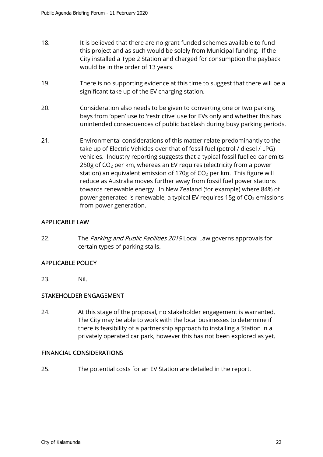- 18. It is believed that there are no grant funded schemes available to fund this project and as such would be solely from Municipal funding. If the City installed a Type 2 Station and charged for consumption the payback would be in the order of 13 years.
- 19. There is no supporting evidence at this time to suggest that there will be a significant take up of the EV charging station.
- 20. Consideration also needs to be given to converting one or two parking bays from 'open' use to 'restrictive' use for EVs only and whether this has unintended consequences of public backlash during busy parking periods.
- 21. Environmental considerations of this matter relate predominantly to the take up of Electric Vehicles over that of fossil fuel (petrol / diesel / LPG) vehicles. Industry reporting suggests that a typical fossil fuelled car emits 250g of  $CO<sub>2</sub>$  per km, whereas an EV requires (electricity from a power station) an equivalent emission of 170g of  $CO<sub>2</sub>$  per km. This figure will reduce as Australia moves further away from fossil fuel power stations towards renewable energy. In New Zealand (for example) where 84% of power generated is renewable, a typical EV requires 15g of  $CO<sub>2</sub>$  emissions from power generation.

## APPLICABLE LAW

22. The Parking and Public Facilities 2019 Local Law governs approvals for certain types of parking stalls.

## APPLICABLE POLICY

23. Nil.

## STAKEHOLDER ENGAGEMENT

24. At this stage of the proposal, no stakeholder engagement is warranted. The City may be able to work with the local businesses to determine if there is feasibility of a partnership approach to installing a Station in a privately operated car park, however this has not been explored as yet.

## FINANCIAL CONSIDERATIONS

25. The potential costs for an EV Station are detailed in the report.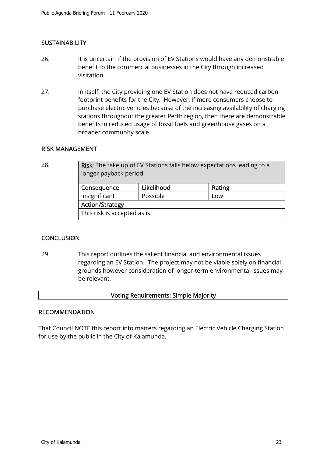## **SUSTAINABILITY**

- 26. It is uncertain if the provision of EV Stations would have any demonstrable benefit to the commercial businesses in the City through increased visitation.
- 27. In itself, the City providing one EV Station does not have reduced carbon footprint benefits for the City. However, if more consumers choose to purchase electric vehicles because of the increasing availability of charging stations throughout the greater Perth region, then there are demonstrable benefits in reduced usage of fossil fuels and greenhouse gases on a broader community scale.

### RISK MANAGEMENT

28. **Risk:** The take up of EV Stations falls below expectations leading to a longer payback period.

| Consequence                  | Likelihood | Rating |  |  |  |  |
|------------------------------|------------|--------|--|--|--|--|
| Insignificant                | Possible   | Low    |  |  |  |  |
| <b>Action/Strategy</b>       |            |        |  |  |  |  |
| This risk is accepted as is. |            |        |  |  |  |  |

## **CONCLUSION**

29. This report outlines the salient financial and environmental issues regarding an EV Station. The project may not be viable solely on financial grounds however consideration of longer-term environmental issues may be relevant.

#### Voting Requirements: Simple Majority

#### RECOMMENDATION

That Council NOTE this report into matters regarding an Electric Vehicle Charging Station for use by the public in the City of Kalamunda.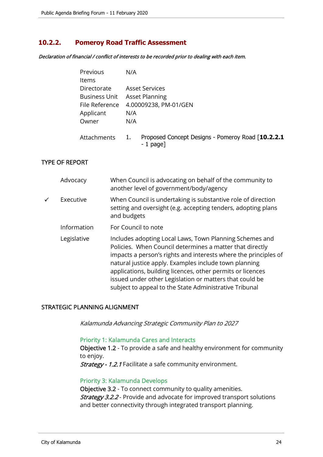## **10.2.2. Pomeroy Road Traffic Assessment**

Declaration of financial / conflict of interests to be recorded prior to dealing with each item.

| Previous             | N/A |                                                                  |
|----------------------|-----|------------------------------------------------------------------|
| <b>Items</b>         |     |                                                                  |
| Directorate          |     | <b>Asset Services</b>                                            |
| <b>Business Unit</b> |     | <b>Asset Planning</b>                                            |
| File Reference       |     | 4.00009238, PM-01/GEN                                            |
| Applicant            | N/A |                                                                  |
| Owner                | N/A |                                                                  |
| <b>Attachments</b>   | 1.  | Proposed Concept Designs - Pomeroy Road [10.2.2.1]<br>$-1$ page] |

## TYPE OF REPORT

|              | Advocacy    | When Council is advocating on behalf of the community to<br>another level of government/body/agency                                                                                                                                                                                                                                                                                                                                |
|--------------|-------------|------------------------------------------------------------------------------------------------------------------------------------------------------------------------------------------------------------------------------------------------------------------------------------------------------------------------------------------------------------------------------------------------------------------------------------|
| $\checkmark$ | Executive   | When Council is undertaking is substantive role of direction<br>setting and oversight (e.g. accepting tenders, adopting plans<br>and budgets                                                                                                                                                                                                                                                                                       |
|              | Information | For Council to note                                                                                                                                                                                                                                                                                                                                                                                                                |
|              | Legislative | Includes adopting Local Laws, Town Planning Schemes and<br>Policies. When Council determines a matter that directly<br>impacts a person's rights and interests where the principles of<br>natural justice apply. Examples include town planning<br>applications, building licences, other permits or licences<br>issued under other Legislation or matters that could be<br>subject to appeal to the State Administrative Tribunal |

## STRATEGIC PLANNING ALIGNMENT

Kalamunda Advancing Strategic Community Plan to 2027

#### Priority 1: Kalamunda Cares and Interacts

Objective 1.2 - To provide a safe and healthy environment for community to enjoy.

Strategy - 1.2.1 Facilitate a safe community environment.

#### Priority 3: Kalamunda Develops

Objective 3.2 - To connect community to quality amenities. **Strategy 3.2.2** - Provide and advocate for improved transport solutions and better connectivity through integrated transport planning.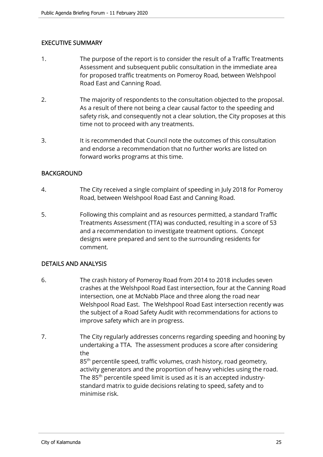## EXECUTIVE SUMMARY

- 1. The purpose of the report is to consider the result of a Traffic Treatments Assessment and subsequent public consultation in the immediate area for proposed traffic treatments on Pomeroy Road, between Welshpool Road East and Canning Road.
- 2. The majority of respondents to the consultation objected to the proposal. As a result of there not being a clear causal factor to the speeding and safety risk, and consequently not a clear solution, the City proposes at this time not to proceed with any treatments.
- 3. It is recommended that Council note the outcomes of this consultation and endorse a recommendation that no further works are listed on forward works programs at this time.

## BACKGROUND

- 4. The City received a single complaint of speeding in July 2018 for Pomeroy Road, between Welshpool Road East and Canning Road.
- 5. Following this complaint and as resources permitted, a standard Traffic Treatments Assessment (TTA) was conducted, resulting in a score of 53 and a recommendation to investigate treatment options. Concept designs were prepared and sent to the surrounding residents for comment.

## DETAILS AND ANALYSIS

- 6. The crash history of Pomeroy Road from 2014 to 2018 includes seven crashes at the Welshpool Road East intersection, four at the Canning Road intersection, one at McNabb Place and three along the road near Welshpool Road East. The Welshpool Road East intersection recently was the subject of a Road Safety Audit with recommendations for actions to improve safety which are in progress.
- 7. The City regularly addresses concerns regarding speeding and hooning by undertaking a TTA. The assessment produces a score after considering the 85<sup>th</sup> percentile speed, traffic volumes, crash history, road geometry, activity generators and the proportion of heavy vehicles using the road. The 85<sup>th</sup> percentile speed limit is used as it is an accepted industrystandard matrix to guide decisions relating to speed, safety and to minimise risk.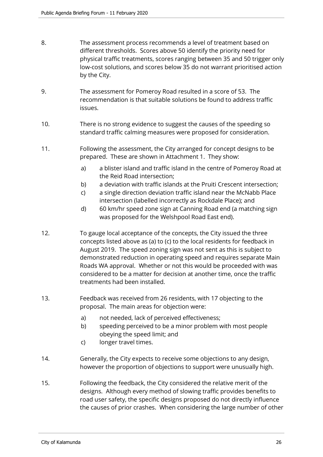- 8. The assessment process recommends a level of treatment based on different thresholds. Scores above 50 identify the priority need for physical traffic treatments, scores ranging between 35 and 50 trigger only low-cost solutions, and scores below 35 do not warrant prioritised action by the City.
- 9. The assessment for Pomeroy Road resulted in a score of 53. The recommendation is that suitable solutions be found to address traffic issues.
- 10. There is no strong evidence to suggest the causes of the speeding so standard traffic calming measures were proposed for consideration.
- 11. Following the assessment, the City arranged for concept designs to be prepared. These are shown in Attachment 1. They show:
	- a) a blister island and traffic island in the centre of Pomeroy Road at the Reid Road intersection;
	- b) a deviation with traffic islands at the Pruiti Crescent intersection;
	- c) a single direction deviation traffic island near the McNabb Place intersection (labelled incorrectly as Rockdale Place); and
	- d) 60 km/hr speed zone sign at Canning Road end (a matching sign was proposed for the Welshpool Road East end).
- 12. To gauge local acceptance of the concepts, the City issued the three concepts listed above as (a) to (c) to the local residents for feedback in August 2019. The speed zoning sign was not sent as this is subject to demonstrated reduction in operating speed and requires separate Main Roads WA approval. Whether or not this would be proceeded with was considered to be a matter for decision at another time, once the traffic treatments had been installed.
- 13. Feedback was received from 26 residents, with 17 objecting to the proposal. The main areas for objection were:
	- a) not needed, lack of perceived effectiveness;
	- b) speeding perceived to be a minor problem with most people obeying the speed limit; and
	- c) longer travel times.
- 14. Generally, the City expects to receive some objections to any design, however the proportion of objections to support were unusually high.
- 15. Following the feedback, the City considered the relative merit of the designs. Although every method of slowing traffic provides benefits to road user safety, the specific designs proposed do not directly influence the causes of prior crashes. When considering the large number of other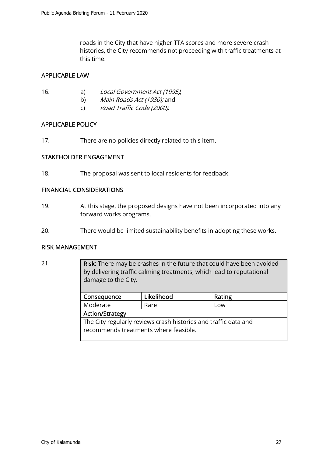roads in the City that have higher TTA scores and more severe crash histories, the City recommends not proceeding with traffic treatments at this time.

## APPLICABLE LAW

- 16. a) Local Government Act (1995),
	- b) Main Roads Act (1930); and
	- c) Road Traffic Code (2000).

## APPLICABLE POLICY

17. There are no policies directly related to this item.

## STAKEHOLDER ENGAGEMENT

18. The proposal was sent to local residents for feedback.

## FINANCIAL CONSIDERATIONS

- 19. At this stage, the proposed designs have not been incorporated into any forward works programs.
- 20. There would be limited sustainability benefits in adopting these works.

## RISK MANAGEMENT

21. **Risk:** There may be crashes in the future that could have been avoided by delivering traffic calming treatments, which lead to reputational damage to the City. Consequence | Likelihood | Rating

| <b>L</b> consequence |                                                                 | LIKEIINOOQ | ROUIS |  |  |  |  |  |
|----------------------|-----------------------------------------------------------------|------------|-------|--|--|--|--|--|
|                      | Moderate                                                        | Rare       | Low   |  |  |  |  |  |
|                      | Action/Strategy                                                 |            |       |  |  |  |  |  |
|                      | The City regularly reviews crash histories and traffic data and |            |       |  |  |  |  |  |
|                      | recommends treatments where feasible.                           |            |       |  |  |  |  |  |
|                      |                                                                 |            |       |  |  |  |  |  |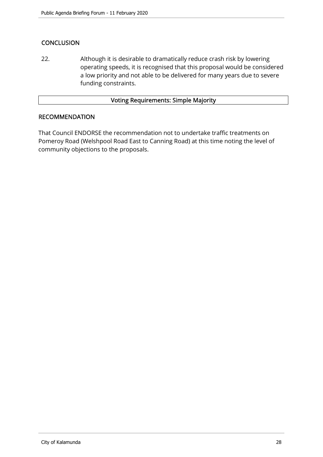## **CONCLUSION**

22. Although it is desirable to dramatically reduce crash risk by lowering operating speeds, it is recognised that this proposal would be considered a low priority and not able to be delivered for many years due to severe funding constraints.

## Voting Requirements: Simple Majority

## **RECOMMENDATION**

That Council ENDORSE the recommendation not to undertake traffic treatments on Pomeroy Road (Welshpool Road East to Canning Road) at this time noting the level of community objections to the proposals.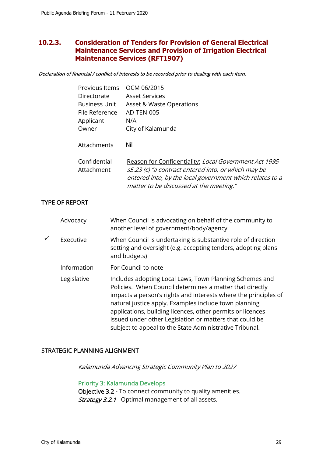## **10.2.3. Consideration of Tenders for Provision of General Electrical Maintenance Services and Provision of Irrigation Electrical Maintenance Services (RFT1907)**

#### Declaration of financial / conflict of interests to be recorded prior to dealing with each item.

| Previous Items             | OCM 06/2015                                                                                                                                                                                                         |
|----------------------------|---------------------------------------------------------------------------------------------------------------------------------------------------------------------------------------------------------------------|
| Directorate                | <b>Asset Services</b>                                                                                                                                                                                               |
| <b>Business Unit</b>       | Asset & Waste Operations                                                                                                                                                                                            |
| File Reference             | AD-TEN-005                                                                                                                                                                                                          |
| Applicant                  | N/A                                                                                                                                                                                                                 |
| Owner                      | City of Kalamunda                                                                                                                                                                                                   |
| Attachments                | Nil                                                                                                                                                                                                                 |
| Confidential<br>Attachment | Reason for Confidentiality: Local Government Act 1995<br>s5.23 (c) "a contract entered into, or which may be<br>entered into, by the local government which relates to a<br>matter to be discussed at the meeting." |
|                            |                                                                                                                                                                                                                     |

## TYPE OF REPORT

|   | Advocacy    | When Council is advocating on behalf of the community to<br>another level of government/body/agency                                                                                                                                                                                                                                                                                                                                 |
|---|-------------|-------------------------------------------------------------------------------------------------------------------------------------------------------------------------------------------------------------------------------------------------------------------------------------------------------------------------------------------------------------------------------------------------------------------------------------|
| ✓ | Executive   | When Council is undertaking is substantive role of direction<br>setting and oversight (e.g. accepting tenders, adopting plans<br>and budgets)                                                                                                                                                                                                                                                                                       |
|   | Information | For Council to note                                                                                                                                                                                                                                                                                                                                                                                                                 |
|   | Legislative | Includes adopting Local Laws, Town Planning Schemes and<br>Policies. When Council determines a matter that directly<br>impacts a person's rights and interests where the principles of<br>natural justice apply. Examples include town planning<br>applications, building licences, other permits or licences<br>issued under other Legislation or matters that could be<br>subject to appeal to the State Administrative Tribunal. |

## STRATEGIC PLANNING ALIGNMENT

Kalamunda Advancing Strategic Community Plan to 2027

## Priority 3: Kalamunda Develops

Objective 3.2 - To connect community to quality amenities. Strategy 3.2.1 - Optimal management of all assets.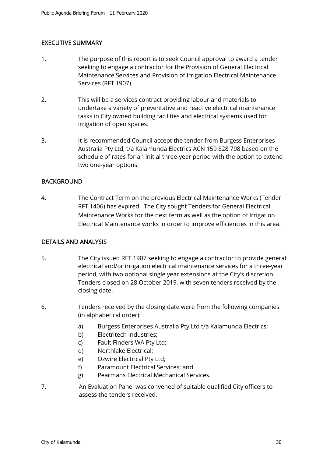## EXECUTIVE SUMMARY

- 1. The purpose of this report is to seek Council approval to award a tender seeking to engage a contractor for the Provision of General Electrical Maintenance Services and Provision of Irrigation Electrical Maintenance Services (RFT 1907).
- 2. This will be a services contract providing labour and materials to undertake a variety of preventative and reactive electrical maintenance tasks in City owned building facilities and electrical systems used for irrigation of open spaces.
- 3. It is recommended Council accept the tender from Burgess Enterprises Australia Pty Ltd, t/a Kalamunda Electrics ACN 159 828 798 based on the schedule of rates for an initial three-year period with the option to extend two one-year options.

## BACKGROUND

4. The Contract Term on the previous Electrical Maintenance Works (Tender RFT 1406) has expired. The City sought Tenders for General Electrical Maintenance Works for the next term as well as the option of Irrigation Electrical Maintenance works in order to improve efficiencies in this area.

## DETAILS AND ANALYSIS

- 5. The City issued RFT 1907 seeking to engage a contractor to provide general electrical and/or irrigation electrical maintenance services for a three-year period, with two optional single year extensions at the City's discretion. Tenders closed on 28 October 2019, with seven tenders received by the closing date.
- 6. Tenders received by the closing date were from the following companies (in alphabetical order):
	- a) Burgess Enterprises Australia Pty Ltd t/a Kalamunda Electrics;
	- b) Electritech Industries;
	- c) Fault Finders WA Pty Ltd;
	- d) Northlake Electrical;
	- e) Ozwire Electrical Pty Ltd;
	- f) Paramount Electrical Services; and
	- g) Pearmans Electrical Mechanical Services.
- 7. An Evaluation Panel was convened of suitable qualified City officers to assess the tenders received.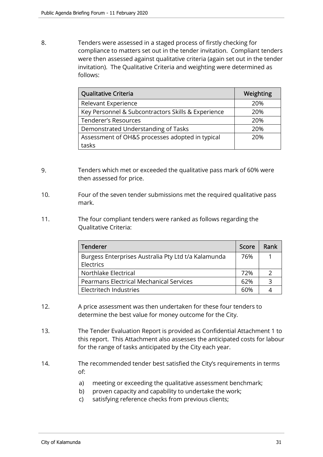8. Tenders were assessed in a staged process of firstly checking for compliance to matters set out in the tender invitation. Compliant tenders were then assessed against qualitative criteria (again set out in the tender invitation). The Qualitative Criteria and weighting were determined as follows:

| Qualitative Criteria                               | Weighting |
|----------------------------------------------------|-----------|
| Relevant Experience                                | 20%       |
| Key Personnel & Subcontractors Skills & Experience | 20%       |
| <b>Tenderer's Resources</b>                        | 20%       |
| Demonstrated Understanding of Tasks                | 20%       |
| Assessment of OH&S processes adopted in typical    | 20%       |
| tasks                                              |           |

- 9. Tenders which met or exceeded the qualitative pass mark of 60% were then assessed for price.
- 10. Four of the seven tender submissions met the required qualitative pass mark.
- 11. The four compliant tenders were ranked as follows regarding the Qualitative Criteria:

| <b>Tenderer</b>                                     | Score | Rank |
|-----------------------------------------------------|-------|------|
| Burgess Enterprises Australia Pty Ltd t/a Kalamunda | 76%   |      |
| Electrics                                           |       |      |
| Northlake Electrical                                | 72%   | 2    |
| <b>Pearmans Electrical Mechanical Services</b>      | 62%   | 3    |
| Electritech Industries                              | 60%   |      |

- 12. A price assessment was then undertaken for these four tenders to determine the best value for money outcome for the City.
- 13. The Tender Evaluation Report is provided as Confidential Attachment 1 to this report. This Attachment also assesses the anticipated costs for labour for the range of tasks anticipated by the City each year.
- 14. The recommended tender best satisfied the City's requirements in terms of:
	- a) meeting or exceeding the qualitative assessment benchmark;
	- b) proven capacity and capability to undertake the work;
	- c) satisfying reference checks from previous clients;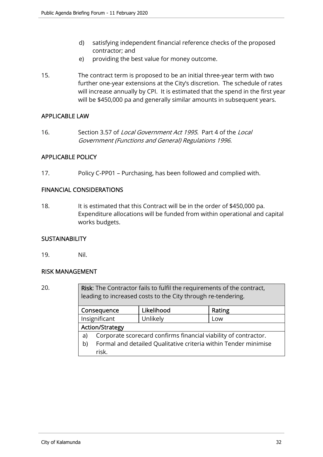- d) satisfying independent financial reference checks of the proposed contractor; and
- e) providing the best value for money outcome.
- 15. The contract term is proposed to be an initial three-year term with two further one-year extensions at the City's discretion. The schedule of rates will increase annually by CPI. It is estimated that the spend in the first year will be \$450,000 pa and generally similar amounts in subsequent years.

## APPLICABLE LAW

16. Section 3.57 of *Local Government Act 1995*. Part 4 of the Local Government (Functions and General) Regulations 1996.

## APPLICABLE POLICY

17. Policy C-PP01 – Purchasing, has been followed and complied with.

## FINANCIAL CONSIDERATIONS

18. It is estimated that this Contract will be in the order of \$450,000 pa. Expenditure allocations will be funded from within operational and capital works budgets.

## **SUSTAINABILITY**

19. Nil.

## RISK MANAGEMENT

20. Risk: The Contractor fails to fulfil the requirements of the contract, leading to increased costs to the City through re-tendering.

| Likelihood<br>Consequence |                                                                 | Rating   |     |
|---------------------------|-----------------------------------------------------------------|----------|-----|
|                           | Insignificant                                                   | Unlikely | Low |
|                           | <b>Action/Strategy</b>                                          |          |     |
| a)                        | Corporate scorecard confirms financial viability of contractor. |          |     |
| b)                        | Formal and detailed Qualitative criteria within Tender minimise |          |     |
|                           | risk.                                                           |          |     |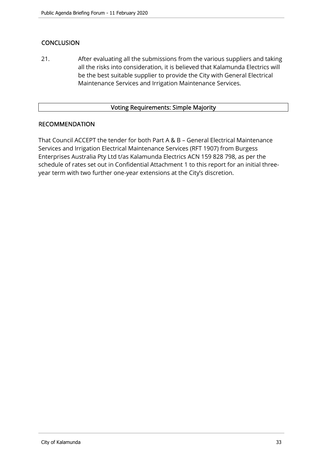## **CONCLUSION**

21. After evaluating all the submissions from the various suppliers and taking all the risks into consideration, it is believed that Kalamunda Electrics will be the best suitable supplier to provide the City with General Electrical Maintenance Services and Irrigation Maintenance Services.

## Voting Requirements: Simple Majority

## RECOMMENDATION

That Council ACCEPT the tender for both Part A & B – General Electrical Maintenance Services and Irrigation Electrical Maintenance Services (RFT 1907) from Burgess Enterprises Australia Pty Ltd t/as Kalamunda Electrics ACN 159 828 798, as per the schedule of rates set out in Confidential Attachment 1 to this report for an initial threeyear term with two further one-year extensions at the City's discretion.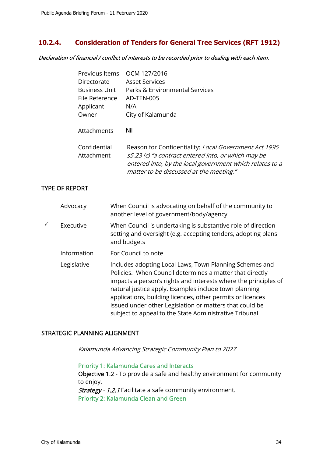## **10.2.4. Consideration of Tenders for General Tree Services (RFT 1912)**

Declaration of financial / conflict of interests to be recorded prior to dealing with each item.

| Previous Items       | OCM 127/2016                                             |
|----------------------|----------------------------------------------------------|
| Directorate          | <b>Asset Services</b>                                    |
| <b>Business Unit</b> | Parks & Environmental Services                           |
| File Reference       | AD-TEN-005                                               |
| Applicant            | N/A                                                      |
| Owner                | City of Kalamunda                                        |
|                      |                                                          |
| Attachments          | Nil                                                      |
|                      |                                                          |
| Confidential         | Reason for Confidentiality: Local Government Act 1995    |
| Attachment           | s5.23 (c) "a contract entered into, or which may be      |
|                      | entered into, by the local government which relates to a |
|                      | matter to be discussed at the meeting."                  |

## TYPE OF REPORT

| Advocacy    | When Council is advocating on behalf of the community to<br>another level of government/body/agency                                                                                                                                                                                                                                                                                                                                |
|-------------|------------------------------------------------------------------------------------------------------------------------------------------------------------------------------------------------------------------------------------------------------------------------------------------------------------------------------------------------------------------------------------------------------------------------------------|
| Executive   | When Council is undertaking is substantive role of direction<br>setting and oversight (e.g. accepting tenders, adopting plans<br>and budgets                                                                                                                                                                                                                                                                                       |
| Information | For Council to note                                                                                                                                                                                                                                                                                                                                                                                                                |
| Legislative | Includes adopting Local Laws, Town Planning Schemes and<br>Policies. When Council determines a matter that directly<br>impacts a person's rights and interests where the principles of<br>natural justice apply. Examples include town planning<br>applications, building licences, other permits or licences<br>issued under other Legislation or matters that could be<br>subject to appeal to the State Administrative Tribunal |

## STRATEGIC PLANNING ALIGNMENT

Kalamunda Advancing Strategic Community Plan to 2027

Priority 1: Kalamunda Cares and Interacts Objective 1.2 - To provide a safe and healthy environment for community to enjoy. Strategy - 1.2.1 Facilitate a safe community environment. Priority 2: Kalamunda Clean and Green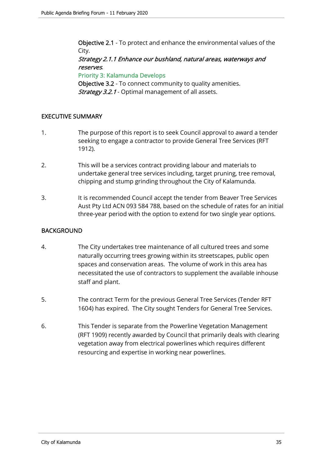Objective 2.1 - To protect and enhance the environmental values of the City.

## Strategy 2.1.1 Enhance our bushland, natural areas, waterways and reserves.

Priority 3: Kalamunda Develops

Objective 3.2 - To connect community to quality amenities. Strategy 3.2.1 - Optimal management of all assets.

## EXECUTIVE SUMMARY

- 1. The purpose of this report is to seek Council approval to award a tender seeking to engage a contractor to provide General Tree Services (RFT 1912).
- 2. This will be a services contract providing labour and materials to undertake general tree services including, target pruning, tree removal, chipping and stump grinding throughout the City of Kalamunda.
- 3. It is recommended Council accept the tender from Beaver Tree Services Aust Pty Ltd ACN 093 584 788, based on the schedule of rates for an initial three-year period with the option to extend for two single year options.

## BACKGROUND

- 4. The City undertakes tree maintenance of all cultured trees and some naturally occurring trees growing within its streetscapes, public open spaces and conservation areas. The volume of work in this area has necessitated the use of contractors to supplement the available inhouse staff and plant.
- 5. The contract Term for the previous General Tree Services (Tender RFT 1604) has expired. The City sought Tenders for General Tree Services.
- 6. This Tender is separate from the Powerline Vegetation Management (RFT 1909) recently awarded by Council that primarily deals with clearing vegetation away from electrical powerlines which requires different resourcing and expertise in working near powerlines.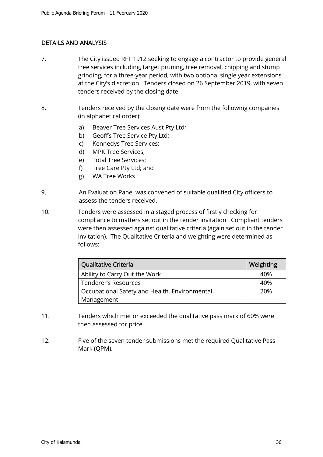## DETAILS AND ANALYSIS

- 7. The City issued RFT 1912 seeking to engage a contractor to provide general tree services including, target pruning, tree removal, chipping and stump grinding, for a three-year period, with two optional single year extensions at the City's discretion. Tenders closed on 26 September 2019, with seven tenders received by the closing date.
- 8. Tenders received by the closing date were from the following companies (in alphabetical order):
	- a) Beaver Tree Services Aust Pty Ltd;
	- b) Geoff's Tree Service Pty Ltd;
	- c) Kennedys Tree Services;
	- d) MPK Tree Services;
	- e) Total Tree Services;
	- f) Tree Care Pty Ltd; and
	- g) WA Tree Works
- 9. An Evaluation Panel was convened of suitable qualified City officers to assess the tenders received.
- 10. Tenders were assessed in a staged process of firstly checking for compliance to matters set out in the tender invitation. Compliant tenders were then assessed against qualitative criteria (again set out in the tender invitation). The Qualitative Criteria and weighting were determined as follows:

| Qualitative Criteria                          | Weighting |
|-----------------------------------------------|-----------|
| Ability to Carry Out the Work                 | 40%       |
| Tenderer's Resources                          | 40%       |
| Occupational Safety and Health, Environmental | 20%       |
| Management                                    |           |

- 11. Tenders which met or exceeded the qualitative pass mark of 60% were then assessed for price.
- 12. Five of the seven tender submissions met the required Qualitative Pass Mark (QPM).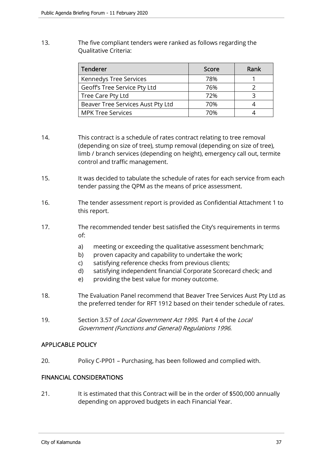13. The five compliant tenders were ranked as follows regarding the Qualitative Criteria:

| <b>Tenderer</b>                   | Score | Rank |
|-----------------------------------|-------|------|
| Kennedys Tree Services            | 78%   |      |
| Geoff's Tree Service Pty Ltd      | 76%   |      |
| Tree Care Pty Ltd                 | 72%   |      |
| Beaver Tree Services Aust Pty Ltd | 70%   |      |
| <b>MPK Tree Services</b>          | 70%   |      |

- 14. This contract is a schedule of rates contract relating to tree removal (depending on size of tree), stump removal (depending on size of tree), limb / branch services (depending on height), emergency call out, termite control and traffic management.
- 15. It was decided to tabulate the schedule of rates for each service from each tender passing the QPM as the means of price assessment.
- 16. The tender assessment report is provided as Confidential Attachment 1 to this report.
- 17. The recommended tender best satisfied the City's requirements in terms of:
	- a) meeting or exceeding the qualitative assessment benchmark;
	- b) proven capacity and capability to undertake the work;
	- c) satisfying reference checks from previous clients;
	- d) satisfying independent financial Corporate Scorecard check; and
	- e) providing the best value for money outcome.
- 18. The Evaluation Panel recommend that Beaver Tree Services Aust Pty Ltd as the preferred tender for RFT 1912 based on their tender schedule of rates.
- 19. Section 3.57 of *Local Government Act 1995*. Part 4 of the *Local* Government (Functions and General) Regulations 1996.

## APPLICABLE POLICY

20. Policy C-PP01 – Purchasing, has been followed and complied with.

## FINANCIAL CONSIDERATIONS

21. It is estimated that this Contract will be in the order of \$500,000 annually depending on approved budgets in each Financial Year.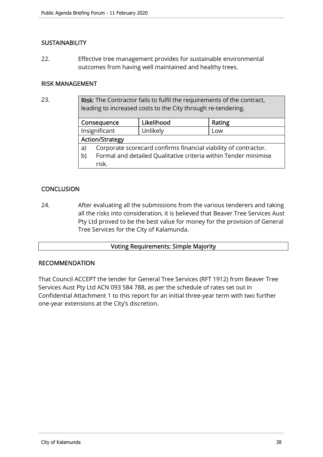## **SUSTAINABILITY**

22. Effective tree management provides for sustainable environmental outcomes from having well maintained and healthy trees.

## RISK MANAGEMENT

23. Risk: The Contractor fails to fulfil the requirements of the contract, leading to increased costs to the City through re-tendering.

|    | Consequence                                                     | Likelihood | Rating |  |  |
|----|-----------------------------------------------------------------|------------|--------|--|--|
|    | Insignificant                                                   | Unlikely   | Low    |  |  |
|    | <b>Action/Strategy</b>                                          |            |        |  |  |
| a) | Corporate scorecard confirms financial viability of contractor. |            |        |  |  |
| b) | Formal and detailed Qualitative criteria within Tender minimise |            |        |  |  |
|    | risk.                                                           |            |        |  |  |

## **CONCLUSION**

24. After evaluating all the submissions from the various tenderers and taking all the risks into consideration, it is believed that Beaver Tree Services Aust Pty Ltd proved to be the best value for money for the provision of General Tree Services for the City of Kalamunda.

## Voting Requirements: Simple Majority

## RECOMMENDATION

That Council ACCEPT the tender for General Tree Services (RFT 1912) from Beaver Tree Services Aust Pty Ltd ACN 093 584 788, as per the schedule of rates set out in Confidential Attachment 1 to this report for an initial three-year term with two further one-year extensions at the City's discretion.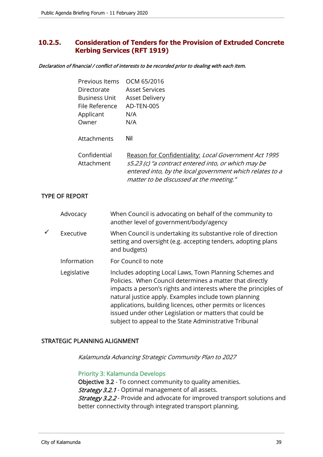## **10.2.5. Consideration of Tenders for the Provision of Extruded Concrete Kerbing Services (RFT 1919)**

Declaration of financial / conflict of interests to be recorded prior to dealing with each item.

| Previous Items             | OCM 65/2016                                                                                                                                                                                                         |
|----------------------------|---------------------------------------------------------------------------------------------------------------------------------------------------------------------------------------------------------------------|
| Directorate                | <b>Asset Services</b>                                                                                                                                                                                               |
| Business Unit              | <b>Asset Delivery</b>                                                                                                                                                                                               |
| File Reference             | AD-TEN-005                                                                                                                                                                                                          |
| Applicant                  | N/A                                                                                                                                                                                                                 |
| Owner                      | N/A                                                                                                                                                                                                                 |
| Attachments                | Nil                                                                                                                                                                                                                 |
| Confidential<br>Attachment | Reason for Confidentiality: Local Government Act 1995<br>s5.23 (c) "a contract entered into, or which may be<br>entered into, by the local government which relates to a<br>matter to be discussed at the meeting." |

## TYPE OF REPORT

|   | Advocacy    | When Council is advocating on behalf of the community to<br>another level of government/body/agency                                                                                                                                                                                                                                                                                                                                |
|---|-------------|------------------------------------------------------------------------------------------------------------------------------------------------------------------------------------------------------------------------------------------------------------------------------------------------------------------------------------------------------------------------------------------------------------------------------------|
| ✓ | Executive   | When Council is undertaking its substantive role of direction<br>setting and oversight (e.g. accepting tenders, adopting plans<br>and budgets)                                                                                                                                                                                                                                                                                     |
|   | Information | For Council to note                                                                                                                                                                                                                                                                                                                                                                                                                |
|   | Legislative | Includes adopting Local Laws, Town Planning Schemes and<br>Policies. When Council determines a matter that directly<br>impacts a person's rights and interests where the principles of<br>natural justice apply. Examples include town planning<br>applications, building licences, other permits or licences<br>issued under other Legislation or matters that could be<br>subject to appeal to the State Administrative Tribunal |

## STRATEGIC PLANNING ALIGNMENT

Kalamunda Advancing Strategic Community Plan to 2027

## Priority 3: Kalamunda Develops

Objective 3.2 - To connect community to quality amenities. **Strategy 3.2.1** - Optimal management of all assets. Strategy 3.2.2 - Provide and advocate for improved transport solutions and better connectivity through integrated transport planning.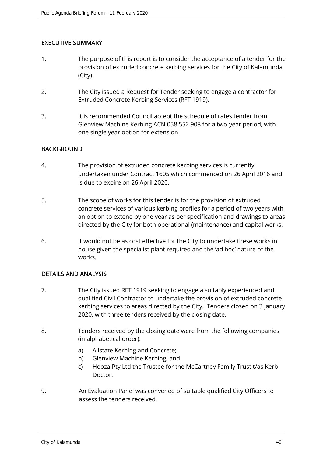## EXECUTIVE SUMMARY

- 1. The purpose of this report is to consider the acceptance of a tender for the provision of extruded concrete kerbing services for the City of Kalamunda (City).
- 2. The City issued a Request for Tender seeking to engage a contractor for Extruded Concrete Kerbing Services (RFT 1919).
- 3. It is recommended Council accept the schedule of rates tender from Glenview Machine Kerbing ACN 058 552 908 for a two-year period, with one single year option for extension.

## BACKGROUND

- 4. The provision of extruded concrete kerbing services is currently undertaken under Contract 1605 which commenced on 26 April 2016 and is due to expire on 26 April 2020.
- 5. The scope of works for this tender is for the provision of extruded concrete services of various kerbing profiles for a period of two years with an option to extend by one year as per specification and drawings to areas directed by the City for both operational (maintenance) and capital works.
- 6. It would not be as cost effective for the City to undertake these works in house given the specialist plant required and the 'ad hoc' nature of the works.

## DETAILS AND ANALYSIS

- 7. The City issued RFT 1919 seeking to engage a suitably experienced and qualified Civil Contractor to undertake the provision of extruded concrete kerbing services to areas directed by the City. Tenders closed on 3 January 2020, with three tenders received by the closing date.
- 8. Tenders received by the closing date were from the following companies (in alphabetical order):
	- a) Allstate Kerbing and Concrete;
	- b) Glenview Machine Kerbing; and
	- c) Hooza Pty Ltd the Trustee for the McCartney Family Trust t/as Kerb Doctor.
- 9. An Evaluation Panel was convened of suitable qualified City Officers to assess the tenders received.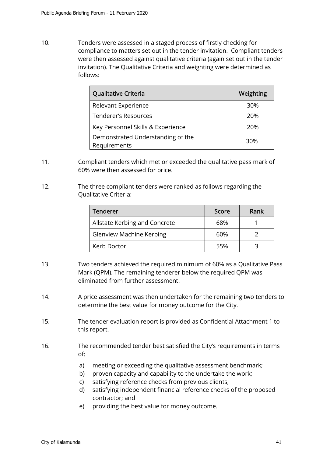10. Tenders were assessed in a staged process of firstly checking for compliance to matters set out in the tender invitation. Compliant tenders were then assessed against qualitative criteria (again set out in the tender invitation). The Qualitative Criteria and weighting were determined as follows:

| Qualitative Criteria                              | Weighting |
|---------------------------------------------------|-----------|
| Relevant Experience                               | 30%       |
| Tenderer's Resources                              | 20%       |
| Key Personnel Skills & Experience                 | 20%       |
| Demonstrated Understanding of the<br>Requirements | 30%       |

- 11. Compliant tenders which met or exceeded the qualitative pass mark of 60% were then assessed for price.
- 12. The three compliant tenders were ranked as follows regarding the Qualitative Criteria:

| Tenderer                        | Score | Rank |
|---------------------------------|-------|------|
| Allstate Kerbing and Concrete   | 68%   |      |
| <b>Glenview Machine Kerbing</b> | 60%   |      |
| Kerb Doctor                     | 55%   |      |

- 13. Two tenders achieved the required minimum of 60% as a Qualitative Pass Mark (QPM). The remaining tenderer below the required QPM was eliminated from further assessment.
- 14. A price assessment was then undertaken for the remaining two tenders to determine the best value for money outcome for the City.
- 15. The tender evaluation report is provided as Confidential Attachment 1 to this report.
- 16. The recommended tender best satisfied the City's requirements in terms of:
	- a) meeting or exceeding the qualitative assessment benchmark;
	- b) proven capacity and capability to the undertake the work;
	- c) satisfying reference checks from previous clients;
	- d) satisfying independent financial reference checks of the proposed contractor; and
	- e) providing the best value for money outcome.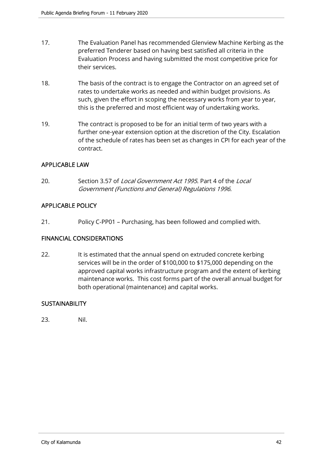- 17. The Evaluation Panel has recommended Glenview Machine Kerbing as the preferred Tenderer based on having best satisfied all criteria in the Evaluation Process and having submitted the most competitive price for their services.
- 18. The basis of the contract is to engage the Contractor on an agreed set of rates to undertake works as needed and within budget provisions. As such, given the effort in scoping the necessary works from year to year, this is the preferred and most efficient way of undertaking works.
- 19. The contract is proposed to be for an initial term of two years with a further one-year extension option at the discretion of the City. Escalation of the schedule of rates has been set as changes in CPI for each year of the contract.

## APPLICABLE LAW

20. Section 3.57 of Local Government Act 1995. Part 4 of the Local Government (Functions and General) Regulations 1996.

## APPLICABLE POLICY

21. Policy C-PP01 – Purchasing, has been followed and complied with.

## FINANCIAL CONSIDERATIONS

22. It is estimated that the annual spend on extruded concrete kerbing services will be in the order of \$100,000 to \$175,000 depending on the approved capital works infrastructure program and the extent of kerbing maintenance works. This cost forms part of the overall annual budget for both operational (maintenance) and capital works.

## **SUSTAINABILITY**

23. Nil.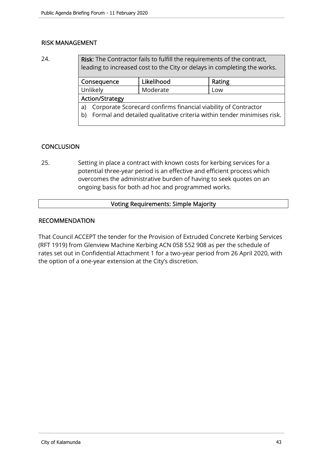## RISK MANAGEMENT

24. Risk: The Contractor fails to fulfill the requirements of the contract, leading to increased cost to the City or delays in completing the works.

| Consequence                                                                  |  | Likelihood | Rating |  |
|------------------------------------------------------------------------------|--|------------|--------|--|
| Unlikely                                                                     |  | Moderate   | Low    |  |
| <b>Action/Strategy</b>                                                       |  |            |        |  |
| Corporate Scorecard confirms financial viability of Contractor<br>a)         |  |            |        |  |
| Formal and detailed qualitative criteria within tender minimises risk.<br>b) |  |            |        |  |
|                                                                              |  |            |        |  |

## **CONCLUSION**

25. Setting in place a contract with known costs for kerbing services for a potential three-year period is an effective and efficient process which overcomes the administrative burden of having to seek quotes on an ongoing basis for both ad hoc and programmed works.

## Voting Requirements: Simple Majority

## RECOMMENDATION

That Council ACCEPT the tender for the Provision of Extruded Concrete Kerbing Services (RFT 1919) from Glenview Machine Kerbing ACN 058 552 908 as per the schedule of rates set out in Confidential Attachment 1 for a two-year period from 26 April 2020, with the option of a one-year extension at the City's discretion.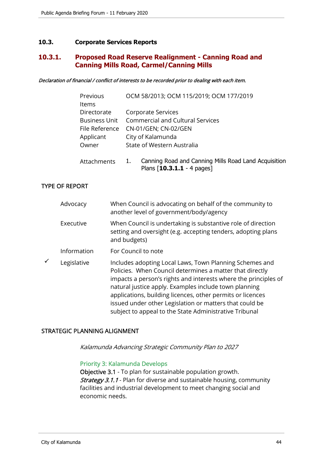## **10.3. Corporate Services Reports**

## **10.3.1. Proposed Road Reserve Realignment - Canning Road and Canning Mills Road, Carmel/Canning Mills**

Declaration of financial / conflict of interests to be recorded prior to dealing with each item.

| Previous       | OCM 58/2013; OCM 115/2019; OCM 177/2019              |
|----------------|------------------------------------------------------|
| Items          |                                                      |
| Directorate    | Corporate Services                                   |
|                | Business Unit Commercial and Cultural Services       |
| File Reference | CN-01/GEN; CN-02/GEN                                 |
| Applicant      | City of Kalamunda                                    |
| Owner          | State of Western Australia                           |
|                |                                                      |
| Attachments    | Canning Road and Canning Mills Road Land Acquisition |

Plans [**10.3.1.1** - 4 pages]

## TYPE OF REPORT

|   | Advocacy    | When Council is advocating on behalf of the community to<br>another level of government/body/agency                                                                                                                                                                                                                                                                                                                                |
|---|-------------|------------------------------------------------------------------------------------------------------------------------------------------------------------------------------------------------------------------------------------------------------------------------------------------------------------------------------------------------------------------------------------------------------------------------------------|
|   | Executive   | When Council is undertaking is substantive role of direction<br>setting and oversight (e.g. accepting tenders, adopting plans<br>and budgets)                                                                                                                                                                                                                                                                                      |
|   | Information | For Council to note                                                                                                                                                                                                                                                                                                                                                                                                                |
| ✓ | Legislative | Includes adopting Local Laws, Town Planning Schemes and<br>Policies. When Council determines a matter that directly<br>impacts a person's rights and interests where the principles of<br>natural justice apply. Examples include town planning<br>applications, building licences, other permits or licences<br>issued under other Legislation or matters that could be<br>subject to appeal to the State Administrative Tribunal |

## STRATEGIC PLANNING ALIGNMENT

Kalamunda Advancing Strategic Community Plan to 2027

#### Priority 3: Kalamunda Develops

Objective 3.1 - To plan for sustainable population growth. **Strategy 3.1.1** - Plan for diverse and sustainable housing, community facilities and industrial development to meet changing social and economic needs.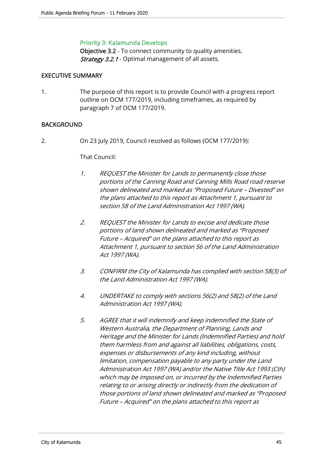## Priority 3: Kalamunda Develops

Objective 3.2 - To connect community to quality amenities. Strategy 3.2.1 - Optimal management of all assets.

## EXECUTIVE SUMMARY

1. The purpose of this report is to provide Council with a progress report outline on OCM 177/2019, including timeframes, as required by paragraph 7 of OCM 177/2019.

## BACKGROUND

2. On 23 July 2019, Council resolved as follows (OCM 177/2019):

#### That Council:

- 1. REQUEST the Minister for Lands to permanently close those portions of the Canning Road and Canning Mills Road road reserve shown delineated and marked as "Proposed Future – Divested" on the plans attached to this report as Attachment 1, pursuant to section 58 of the Land Administration Act 1997 (WA).
- 2. REQUEST the Minister for Lands to excise and dedicate those portions of land shown delineated and marked as "Proposed Future – Acquired" on the plans attached to this report as Attachment 1, pursuant to section 56 of the Land Administration Act 1997 (WA).
- 3. CONFIRM the City of Kalamunda has complied with section 58(3) of the Land Administration Act 1997 (WA).
- 4. UNDERTAKE to comply with sections 56(2) and 58(2) of the Land Administration Act 1997 (WA).
- 5. AGREE that it will indemnify and keep indemnified the State of Western Australia, the Department of Planning, Lands and Heritage and the Minister for Lands (Indemnified Parties) and hold them harmless from and against all liabilities, obligations, costs, expenses or disbursements of any kind including, without limitation, compensation payable to any party under the Land Administration Act 1997 (WA) and/or the Native Title Act 1993 (Cth) which may be imposed on, or incurred by the Indemnified Parties relating to or arising directly or indirectly from the dedication of those portions of land shown delineated and marked as "Proposed Future – Acquired" on the plans attached to this report as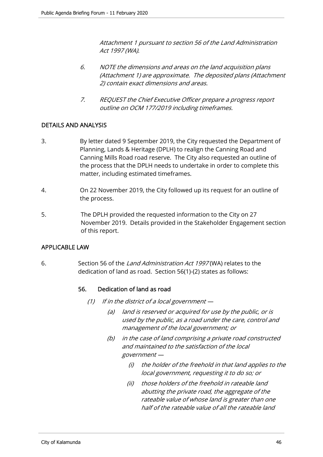Attachment 1 pursuant to section 56 of the Land Administration Act 1997 (WA).

- 6. NOTE the dimensions and areas on the land acquisition plans (Attachment 1) are approximate. The deposited plans (Attachment 2) contain exact dimensions and areas.
- 7. REQUEST the Chief Executive Officer prepare a progress report outline on OCM 177/2019 including timeframes.

## DETAILS AND ANALYSIS

- 3. By letter dated 9 September 2019, the City requested the Department of Planning, Lands & Heritage (DPLH) to realign the Canning Road and Canning Mills Road road reserve. The City also requested an outline of the process that the DPLH needs to undertake in order to complete this matter, including estimated timeframes.
- 4. On 22 November 2019, the City followed up its request for an outline of the process.
- 5. The DPLH provided the requested information to the City on 27 November 2019. Details provided in the Stakeholder Engagement section of this report.

## APPLICABLE LAW

6. Section 56 of the *Land Administration Act 1997* (WA) relates to the dedication of land as road. Section 56(1)-(2) states as follows:

## 56. Dedication of land as road

- (1) If in the district of a local government  $-$ 
	- (a) land is reserved or acquired for use by the public, or is used by the public, as a road under the care, control and management of the local government; or
	- (b) in the case of land comprising a private road constructed and maintained to the satisfaction of the local government —
		- (i) the holder of the freehold in that land applies to the local government, requesting it to do so; or
		- (ii) those holders of the freehold in rateable land abutting the private road, the aggregate of the rateable value of whose land is greater than one half of the rateable value of all the rateable land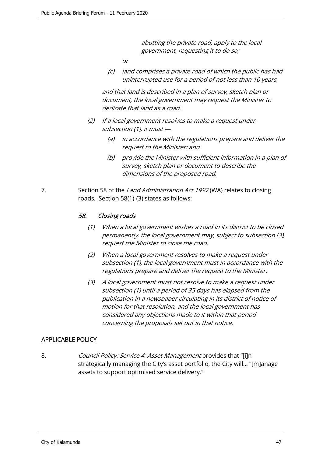abutting the private road, apply to the local government, requesting it to do so;

or

 (c) land comprises a private road of which the public has had uninterrupted use for a period of not less than 10 years,

 and that land is described in a plan of survey, sketch plan or document, the local government may request the Minister to dedicate that land as a road.

- (2) If a local government resolves to make a request under subsection (1), it must —
	- (a) in accordance with the regulations prepare and deliver the request to the Minister; and
	- (b) provide the Minister with sufficient information in a plan of survey, sketch plan or document to describe the dimensions of the proposed road.
- 7. Section 58 of the Land Administration Act 1997 (WA) relates to closing roads. Section 58(1)-(3) states as follows:

## 58. Closing roads

- (1) When a local government wishes a road in its district to be closed permanently, the local government may, subject to subsection (3), request the Minister to close the road.
- (2) When a local government resolves to make a request under subsection (1), the local government must in accordance with the regulations prepare and deliver the request to the Minister.
- (3) A local government must not resolve to make a request under subsection (1) until a period of 35 days has elapsed from the publication in a newspaper circulating in its district of notice of motion for that resolution, and the local government has considered any objections made to it within that period concerning the proposals set out in that notice.

## APPLICABLE POLICY

8. *Council Policy: Service 4: Asset Management* provides that "[i]n strategically managing the City's asset portfolio, the City will… "[m]anage assets to support optimised service delivery."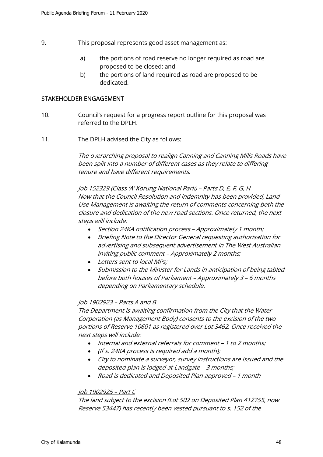- 9. This proposal represents good asset management as:
	- a) the portions of road reserve no longer required as road are proposed to be closed; and
	- b) the portions of land required as road are proposed to be dedicated.

#### STAKEHOLDER ENGAGEMENT

- 10. Council's request for a progress report outline for this proposal was referred to the DPLH.
- 11. The DPLH advised the City as follows:

The overarching proposal to realign Canning and Canning Mills Roads have been split into a number of different cases as they relate to differing tenure and have different requirements.

Job 152329 (Class 'A' Korung National Park) – Parts D, E, F, G, H Now that the Council Resolution and indemnity has been provided, Land Use Management is awaiting the return of comments concerning both the closure and dedication of the new road sections. Once returned, the next steps will include:

- Section 24KA notification process Approximately 1 month;
- Briefing Note to the Director General requesting authorisation for advertising and subsequent advertisement in The West Australian inviting public comment – Approximately 2 months;
- Letters sent to local MPs;
- Submission to the Minister for Lands in anticipation of being tabled before both houses of Parliament – Approximately 3 – 6 months depending on Parliamentary schedule.

## Job 1902923 – Parts A and B

The Department is awaiting confirmation from the City that the Water Corporation (as Management Body) consents to the excision of the two portions of Reserve 10601 as registered over Lot 3462. Once received the next steps will include:

- Internal and external referrals for comment 1 to 2 months;
- (If s. 24KA process is required add a month);
- City to nominate a surveyor, survey instructions are issued and the deposited plan is lodged at Landgate – 3 months;
- Road is dedicated and Deposited Plan approved 1 month

## Job 1902925 – Part C

The land subject to the excision (Lot 502 on Deposited Plan 412755, now Reserve 53447) has recently been vested pursuant to s. 152 of the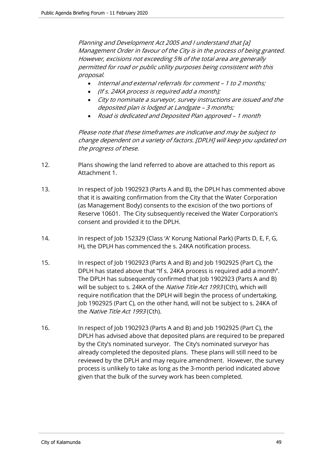Planning and Development Act 2005 and I understand that [a] Management Order in favour of the City is in the process of being granted. However, excisions not exceeding 5% of the total area are generally permitted for road or public utility purposes being consistent with this proposal.

- Internal and external referrals for comment 1 to 2 months;
- (If s. 24KA process is required add a month);
- City to nominate a surveyor, survey instructions are issued and the deposited plan is lodged at Landgate – 3 months;
- Road is dedicated and Deposited Plan approved 1 month

Please note that these timeframes are indicative and may be subject to change dependent on a variety of factors. [DPLH] will keep you updated on the progress of these.

- 12. Plans showing the land referred to above are attached to this report as Attachment 1.
- 13. In respect of Job 1902923 (Parts A and B), the DPLH has commented above that it is awaiting confirmation from the City that the Water Corporation (as Management Body) consents to the excision of the two portions of Reserve 10601. The City subsequently received the Water Corporation's consent and provided it to the DPLH.
- 14. In respect of Job 152329 (Class 'A' Korung National Park) (Parts D, E, F, G, H), the DPLH has commenced the s. 24KA notification process.
- 15. In respect of Job 1902923 (Parts A and B) and Job 1902925 (Part C), the DPLH has stated above that "If s. 24KA process is required add a month". The DPLH has subsequently confirmed that Job 1902923 (Parts A and B) will be subject to s. 24KA of the Native Title Act 1993 (Cth), which will require notification that the DPLH will begin the process of undertaking. Job 1902925 (Part C), on the other hand, will not be subject to s. 24KA of the Native Title Act 1993 (Cth).
- 16. In respect of Job 1902923 (Parts A and B) and Job 1902925 (Part C), the DPLH has advised above that deposited plans are required to be prepared by the City's nominated surveyor. The City's nominated surveyor has already completed the deposited plans. These plans will still need to be reviewed by the DPLH and may require amendment. However, the survey process is unlikely to take as long as the 3-month period indicated above given that the bulk of the survey work has been completed.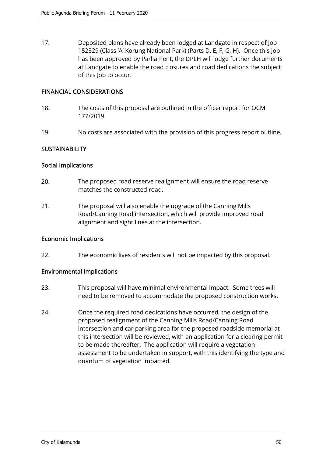17. Deposited plans have already been lodged at Landgate in respect of Job 152329 (Class 'A' Korung National Park) (Parts D, E, F, G, H). Once this Job has been approved by Parliament, the DPLH will lodge further documents at Landgate to enable the road closures and road dedications the subject of this Job to occur.

#### FINANCIAL CONSIDERATIONS

- 18. The costs of this proposal are outlined in the officer report for OCM 177/2019.
- 19. No costs are associated with the provision of this progress report outline.

## **SUSTAINABILITY**

## Social Implications

- 20. The proposed road reserve realignment will ensure the road reserve matches the constructed road.
- 21. The proposal will also enable the upgrade of the Canning Mills Road/Canning Road intersection, which will provide improved road alignment and sight lines at the intersection.

#### Economic Implications

22. The economic lives of residents will not be impacted by this proposal.

## Environmental Implications

- 23. This proposal will have minimal environmental impact. Some trees will need to be removed to accommodate the proposed construction works.
- 24. Once the required road dedications have occurred, the design of the proposed realignment of the Canning Mills Road/Canning Road intersection and car parking area for the proposed roadside memorial at this intersection will be reviewed, with an application for a clearing permit to be made thereafter. The application will require a vegetation assessment to be undertaken in support, with this identifying the type and quantum of vegetation impacted.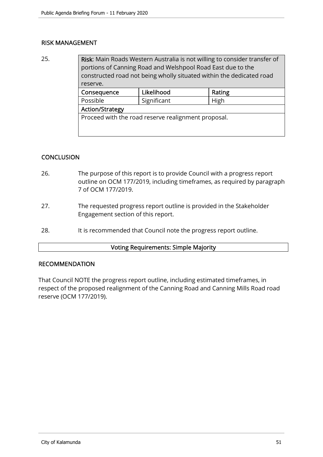## RISK MANAGEMENT

25. **Risk:** Main Roads Western Australia is not willing to consider transfer of portions of Canning Road and Welshpool Road East due to the constructed road not being wholly situated within the dedicated road reserve. Consequence Likelihood Rating

| <b>CONSCRUCITLE</b>                                 | ---------   | 114115 |  |  |
|-----------------------------------------------------|-------------|--------|--|--|
| Possible                                            | Significant | High   |  |  |
| <b>Action/Strategy</b>                              |             |        |  |  |
| Proceed with the road reserve realignment proposal. |             |        |  |  |

## **CONCLUSION**

- 26. The purpose of this report is to provide Council with a progress report outline on OCM 177/2019, including timeframes, as required by paragraph 7 of OCM 177/2019.
- 27. The requested progress report outline is provided in the Stakeholder Engagement section of this report.
- 28. It is recommended that Council note the progress report outline.

#### Voting Requirements: Simple Majority

#### RECOMMENDATION

That Council NOTE the progress report outline, including estimated timeframes, in respect of the proposed realignment of the Canning Road and Canning Mills Road road reserve (OCM 177/2019).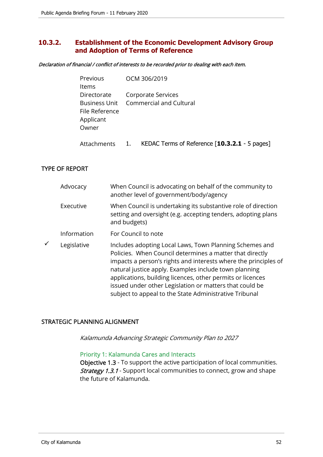## **10.3.2. Establishment of the Economic Development Advisory Group and Adoption of Terms of Reference**

Declaration of financial / conflict of interests to be recorded prior to dealing with each item.

| <b>Previous</b><br>ltems                            | OCM 306/2019                                                       |
|-----------------------------------------------------|--------------------------------------------------------------------|
| Directorate<br>File Reference<br>Applicant<br>Owner | Corporate Services<br><b>Business Unit</b> Commercial and Cultural |
| Attachments                                         | KEDAC Terms of Reference [10.3.2.1 - 5 pages]                      |

## TYPE OF REPORT

|   | Advocacy    | When Council is advocating on behalf of the community to<br>another level of government/body/agency                                                                                                                                                                                                                                                                                                                                |
|---|-------------|------------------------------------------------------------------------------------------------------------------------------------------------------------------------------------------------------------------------------------------------------------------------------------------------------------------------------------------------------------------------------------------------------------------------------------|
|   | Executive   | When Council is undertaking its substantive role of direction<br>setting and oversight (e.g. accepting tenders, adopting plans<br>and budgets)                                                                                                                                                                                                                                                                                     |
|   | Information | For Council to note                                                                                                                                                                                                                                                                                                                                                                                                                |
| ✓ | Legislative | Includes adopting Local Laws, Town Planning Schemes and<br>Policies. When Council determines a matter that directly<br>impacts a person's rights and interests where the principles of<br>natural justice apply. Examples include town planning<br>applications, building licences, other permits or licences<br>issued under other Legislation or matters that could be<br>subject to appeal to the State Administrative Tribunal |

## STRATEGIC PLANNING ALIGNMENT

Kalamunda Advancing Strategic Community Plan to 2027

## Priority 1: Kalamunda Cares and Interacts

Objective 1.3 - To support the active participation of local communities. **Strategy 1.3.1** - Support local communities to connect, grow and shape the future of Kalamunda.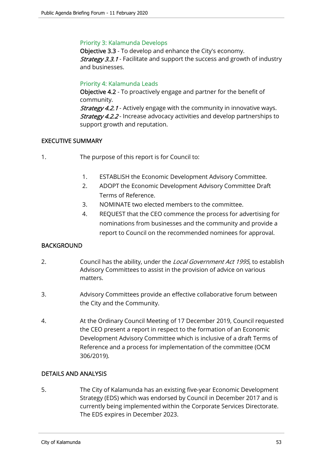## Priority 3: Kalamunda Develops

Objective 3.3 - To develop and enhance the City's economy. **Strategy 3.3.1** - Facilitate and support the success and growth of industry and businesses.

## Priority 4: Kalamunda Leads

Objective 4.2 - To proactively engage and partner for the benefit of community.

**Strategy 4.2.1** - Actively engage with the community in innovative ways. **Strategy 4.2.2** - Increase advocacy activities and develop partnerships to support growth and reputation.

## EXECUTIVE SUMMARY

- 1. The purpose of this report is for Council to:
	- 1. ESTABLISH the Economic Development Advisory Committee.
	- 2. ADOPT the Economic Development Advisory Committee Draft Terms of Reference.
	- 3. NOMINATE two elected members to the committee.
	- 4. REQUEST that the CEO commence the process for advertising for nominations from businesses and the community and provide a report to Council on the recommended nominees for approval.

## BACKGROUND

- 2. Council has the ability, under the Local Government Act 1995, to establish Advisory Committees to assist in the provision of advice on various matters.
- 3. Advisory Committees provide an effective collaborative forum between the City and the Community.
- 4. At the Ordinary Council Meeting of 17 December 2019, Council requested the CEO present a report in respect to the formation of an Economic Development Advisory Committee which is inclusive of a draft Terms of Reference and a process for implementation of the committee (OCM 306/2019).

## DETAILS AND ANALYSIS

5. The City of Kalamunda has an existing five-year Economic Development Strategy (EDS) which was endorsed by Council in December 2017 and is currently being implemented within the Corporate Services Directorate. The EDS expires in December 2023.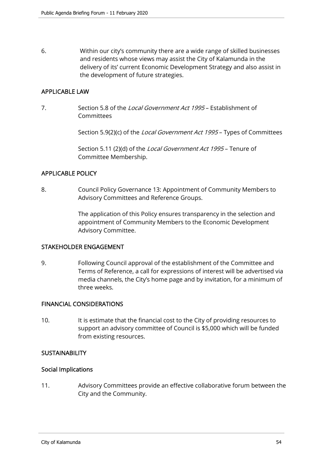6. Within our city's community there are a wide range of skilled businesses and residents whose views may assist the City of Kalamunda in the delivery of its' current Economic Development Strategy and also assist in the development of future strategies.

## APPLICABLE LAW

7. Section 5.8 of the Local Government Act 1995 – Establishment of Committees

Section 5.9(2)(c) of the *Local Government Act 1995* – Types of Committees

Section 5.11 (2)(d) of the *Local Government Act 1995* – Tenure of Committee Membership.

## APPLICABLE POLICY

8. Council Policy Governance 13: Appointment of Community Members to Advisory Committees and Reference Groups.

> The application of this Policy ensures transparency in the selection and appointment of Community Members to the Economic Development Advisory Committee.

#### STAKEHOLDER ENGAGEMENT

9. Following Council approval of the establishment of the Committee and Terms of Reference, a call for expressions of interest will be advertised via media channels, the City's home page and by invitation, for a minimum of three weeks.

#### FINANCIAL CONSIDERATIONS

10. It is estimate that the financial cost to the City of providing resources to support an advisory committee of Council is \$5,000 which will be funded from existing resources.

## **SUSTAINABILITY**

#### Social Implications

11. Advisory Committees provide an effective collaborative forum between the City and the Community.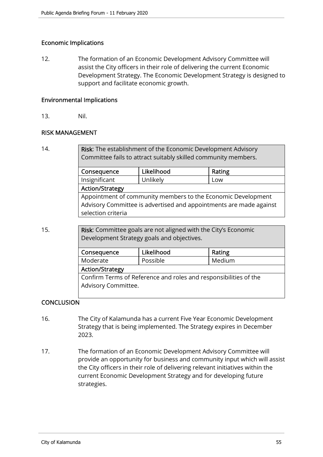## Economic Implications

12. The formation of an Economic Development Advisory Committee will assist the City officers in their role of delivering the current Economic Development Strategy. The Economic Development Strategy is designed to support and facilitate economic growth.

## Environmental Implications

13. Nil.

## RISK MANAGEMENT

14. **Risk:** The establishment of the Economic Development Advisory Committee fails to attract suitably skilled community members. Consequence | Likelihood | Rating Insignificant Unlikely Low Action/Strategy Appointment of community members to the Economic Development

Advisory Committee is advertised and appointments are made against selection criteria

15. **Risk:** Committee goals are not aligned with the City's Economic Development Strategy goals and objectives.

| Likelihood                                                       | Rating |  |  |  |
|------------------------------------------------------------------|--------|--|--|--|
| Possible                                                         | Medium |  |  |  |
| <b>Action/Strategy</b>                                           |        |  |  |  |
| Confirm Terms of Reference and roles and responsibilities of the |        |  |  |  |
| Advisory Committee.                                              |        |  |  |  |
|                                                                  |        |  |  |  |

## **CONCLUSION**

- 16. The City of Kalamunda has a current Five Year Economic Development Strategy that is being implemented. The Strategy expires in December 2023.
- 17. The formation of an Economic Development Advisory Committee will provide an opportunity for business and community input which will assist the City officers in their role of delivering relevant initiatives within the current Economic Development Strategy and for developing future strategies.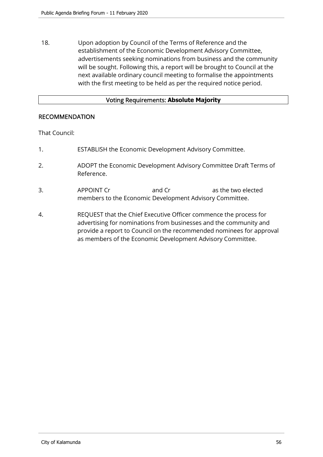18. Upon adoption by Council of the Terms of Reference and the establishment of the Economic Development Advisory Committee, advertisements seeking nominations from business and the community will be sought. Following this, a report will be brought to Council at the next available ordinary council meeting to formalise the appointments with the first meeting to be held as per the required notice period.

## Voting Requirements: **Absolute Majority**

## RECOMMENDATION

That Council:

- 1. ESTABLISH the Economic Development Advisory Committee.
- 2. ADOPT the Economic Development Advisory Committee Draft Terms of Reference.
- 3. APPOINT Cr and Cr as the two elected members to the Economic Development Advisory Committee.
- 4. REQUEST that the Chief Executive Officer commence the process for advertising for nominations from businesses and the community and provide a report to Council on the recommended nominees for approval as members of the Economic Development Advisory Committee.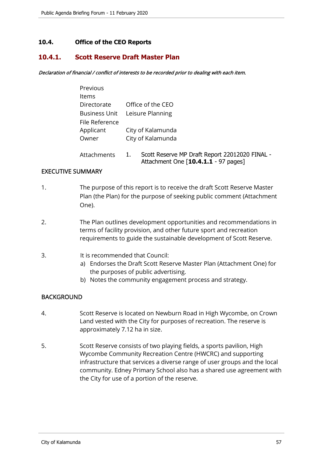## **10.4. Office of the CEO Reports**

## **10.4.1. Scott Reserve Draft Master Plan**

Declaration of financial / conflict of interests to be recorded prior to dealing with each item.

| Previous       |                                |  |
|----------------|--------------------------------|--|
| <b>Items</b>   |                                |  |
| Directorate    | Office of the CEO              |  |
|                | Business Unit Leisure Planning |  |
| File Reference |                                |  |
| Applicant      | City of Kalamunda              |  |
| Owner          | City of Kalamunda              |  |
|                |                                |  |

 Attachments 1. Scott Reserve MP Draft Report 22012020 FINAL - Attachment One [**10.4.1.1** - 97 pages]

## EXECUTIVE SUMMARY

- 1. The purpose of this report is to receive the draft Scott Reserve Master Plan (the Plan) for the purpose of seeking public comment (Attachment One).
- 2. The Plan outlines development opportunities and recommendations in terms of facility provision, and other future sport and recreation requirements to guide the sustainable development of Scott Reserve.

#### 3. It is recommended that Council:

- a) Endorses the Draft Scott Reserve Master Plan (Attachment One) for the purposes of public advertising.
- b) Notes the community engagement process and strategy.

## BACKGROUND

- 4. Scott Reserve is located on Newburn Road in High Wycombe, on Crown Land vested with the City for purposes of recreation. The reserve is approximately 7.12 ha in size.
- 5. Scott Reserve consists of two playing fields, a sports pavilion, High Wycombe Community Recreation Centre (HWCRC) and supporting infrastructure that services a diverse range of user groups and the local community. Edney Primary School also has a shared use agreement with the City for use of a portion of the reserve.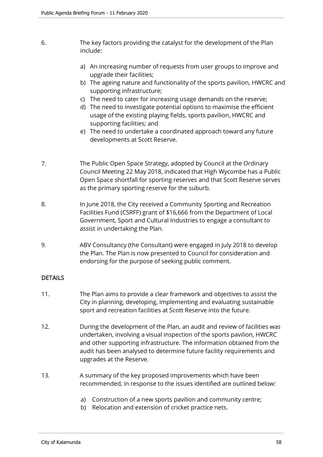- 6. The key factors providing the catalyst for the development of the Plan include:
	- a) An increasing number of requests from user groups to improve and upgrade their facilities;
	- b) The ageing nature and functionality of the sports pavilion, HWCRC and supporting infrastructure;
	- c) The need to cater for increasing usage demands on the reserve;
	- d) The need to investigate potential options to maximise the efficient usage of the existing playing fields, sports pavilion, HWCRC and supporting facilities; and
	- e) The need to undertake a coordinated approach toward any future developments at Scott Reserve.
- 7. The Public Open Space Strategy, adopted by Council at the Ordinary Council Meeting 22 May 2018, indicated that High Wycombe has a Public Open Space shortfall for sporting reserves and that Scott Reserve serves as the primary sporting reserve for the suburb.
- 8. In June 2018, the City received a Community Sporting and Recreation Facilities Fund (CSRFF) grant of \$16,666 from the Department of Local Government, Sport and Cultural Industries to engage a consultant to assist in undertaking the Plan.
- 9. ABV Consultancy (the Consultant) were engaged in July 2018 to develop the Plan. The Plan is now presented to Council for consideration and endorsing for the purpose of seeking public comment.

## DETAILS

- 11. The Plan aims to provide a clear framework and objectives to assist the City in planning, developing, implementing and evaluating sustainable sport and recreation facilities at Scott Reserve into the future.
- 12. During the development of the Plan, an audit and review of facilities was undertaken, involving a visual inspection of the sports pavilion, HWCRC and other supporting infrastructure. The information obtained from the audit has been analysed to determine future facility requirements and upgrades at the Reserve.
- 13. A summary of the key proposed improvements which have been recommended, in response to the issues identified are outlined below:
	- a) Construction of a new sports pavilion and community centre;
	- b) Relocation and extension of cricket practice nets.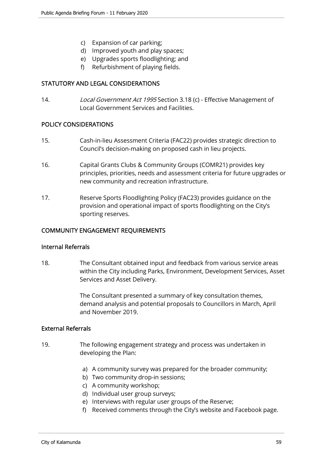- c) Expansion of car parking;
- d) Improved youth and play spaces;
- e) Upgrades sports floodlighting; and
- f) Refurbishment of playing fields.

## STATUTORY AND LEGAL CONSIDERATIONS

14. Local Government Act 1995 Section 3.18 (c) - Effective Management of Local Government Services and Facilities.

## POLICY CONSIDERATIONS

- 15. Cash-in-lieu Assessment Criteria (FAC22) provides strategic direction to Council's decision-making on proposed cash in lieu projects.
- 16. Capital Grants Clubs & Community Groups (COMR21) provides key principles, priorities, needs and assessment criteria for future upgrades or new community and recreation infrastructure.
- 17. Reserve Sports Floodlighting Policy (FAC23) provides guidance on the provision and operational impact of sports floodlighting on the City's sporting reserves.

## COMMUNITY ENGAGEMENT REQUIREMENTS

#### Internal Referrals

18. The Consultant obtained input and feedback from various service areas within the City including Parks, Environment, Development Services, Asset Services and Asset Delivery.

> The Consultant presented a summary of key consultation themes, demand analysis and potential proposals to Councillors in March, April and November 2019.

#### External Referrals

- 19. The following engagement strategy and process was undertaken in developing the Plan:
	- a) A community survey was prepared for the broader community;
	- b) Two community drop-in sessions;
	- c) A community workshop;
	- d) Individual user group surveys;
	- e) Interviews with regular user groups of the Reserve;
	- f) Received comments through the City's website and Facebook page.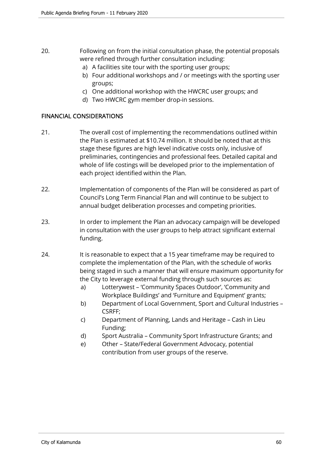## 20. Following on from the initial consultation phase, the potential proposals were refined through further consultation including:

- a) A facilities site tour with the sporting user groups;
- b) Four additional workshops and / or meetings with the sporting user groups;
- c) One additional workshop with the HWCRC user groups; and
- d) Two HWCRC gym member drop-in sessions.

## FINANCIAL CONSIDERATIONS

- 21. The overall cost of implementing the recommendations outlined within the Plan is estimated at \$10.74 million. It should be noted that at this stage these figures are high level indicative costs only, inclusive of preliminaries, contingencies and professional fees. Detailed capital and whole of life costings will be developed prior to the implementation of each project identified within the Plan.
- 22. Implementation of components of the Plan will be considered as part of Council's Long Term Financial Plan and will continue to be subject to annual budget deliberation processes and competing priorities.
- 23. In order to implement the Plan an advocacy campaign will be developed in consultation with the user groups to help attract significant external funding.
- 24. It is reasonable to expect that a 15 year timeframe may be required to complete the implementation of the Plan, with the schedule of works being staged in such a manner that will ensure maximum opportunity for the City to leverage external funding through such sources as:
	- a) Lotterywest 'Community Spaces Outdoor', 'Community and Workplace Buildings' and 'Furniture and Equipment' grants;
	- b) Department of Local Government, Sport and Cultural Industries CSRFF;
	- c) Department of Planning, Lands and Heritage Cash in Lieu Funding;
	- d) Sport Australia Community Sport Infrastructure Grants; and
	- e) Other State/Federal Government Advocacy, potential contribution from user groups of the reserve.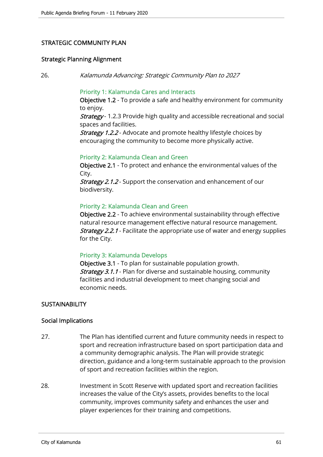## STRATEGIC COMMUNITY PLAN

#### Strategic Planning Alignment

26. Kalamunda Advancing: Strategic Community Plan to 2027

## Priority 1: Kalamunda Cares and Interacts

Objective 1.2 - To provide a safe and healthy environment for community to enjoy.

**Strategy** - 1.2.3 Provide high quality and accessible recreational and social spaces and facilities.

**Strategy 1.2.2** - Advocate and promote healthy lifestyle choices by encouraging the community to become more physically active.

#### Priority 2: Kalamunda Clean and Green

Objective 2.1 - To protect and enhance the environmental values of the City.

Strategy 2.1.2 - Support the conservation and enhancement of our biodiversity.

#### Priority 2: Kalamunda Clean and Green

Objective 2.2 - To achieve environmental sustainability through effective natural resource management effective natural resource management. **Strategy 2.2.1** - Facilitate the appropriate use of water and energy supplies for the City.

#### Priority 3: Kalamunda Develops

Objective 3.1 - To plan for sustainable population growth. **Strategy 3.1.1** - Plan for diverse and sustainable housing, community facilities and industrial development to meet changing social and economic needs.

#### **SUSTAINABILITY**

#### Social Implications

- 27. The Plan has identified current and future community needs in respect to sport and recreation infrastructure based on sport participation data and a community demographic analysis. The Plan will provide strategic direction, guidance and a long-term sustainable approach to the provision of sport and recreation facilities within the region.
- 28. Investment in Scott Reserve with updated sport and recreation facilities increases the value of the City's assets, provides benefits to the local community, improves community safety and enhances the user and player experiences for their training and competitions.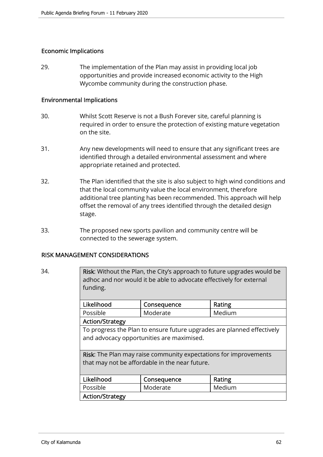## Economic Implications

29. The implementation of the Plan may assist in providing local job opportunities and provide increased economic activity to the High Wycombe community during the construction phase.

## Environmental Implications

- 30. Whilst Scott Reserve is not a Bush Forever site, careful planning is required in order to ensure the protection of existing mature vegetation on the site.
- 31. Any new developments will need to ensure that any significant trees are identified through a detailed environmental assessment and where appropriate retained and protected.
- 32. The Plan identified that the site is also subject to high wind conditions and that the local community value the local environment, therefore additional tree planting has been recommended. This approach will help offset the removal of any trees identified through the detailed design stage.
- 33. The proposed new sports pavilion and community centre will be connected to the sewerage system.

## RISK MANAGEMENT CONSIDERATIONS

34. Risk: Without the Plan, the City's approach to future upgrades would be adhoc and nor would it be able to advocate effectively for external funding.

| Likelihood      | Consequence | Rating |  |
|-----------------|-------------|--------|--|
| Possible        | Moderate    | Medium |  |
| Action/Strategy |             |        |  |

To progress the Plan to ensure future upgrades are planned effectively and advocacy opportunities are maximised.

Risk: The Plan may raise community expectations for improvements that may not be affordable in the near future.

| Likelihood      | Consequence | Rating |  |
|-----------------|-------------|--------|--|
| Possible        | Moderate    | Medium |  |
| Action/Strategy |             |        |  |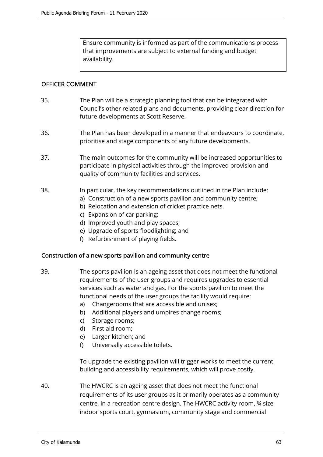Ensure community is informed as part of the communications process that improvements are subject to external funding and budget availability.

## OFFICER COMMENT

- 35. The Plan will be a strategic planning tool that can be integrated with Council's other related plans and documents, providing clear direction for future developments at Scott Reserve.
- 36. The Plan has been developed in a manner that endeavours to coordinate, prioritise and stage components of any future developments.
- 37. The main outcomes for the community will be increased opportunities to participate in physical activities through the improved provision and quality of community facilities and services.
- 38. In particular, the key recommendations outlined in the Plan include:
	- a) Construction of a new sports pavilion and community centre;
		- b) Relocation and extension of cricket practice nets.
		- c) Expansion of car parking;
		- d) Improved youth and play spaces;
		- e) Upgrade of sports floodlighting; and
		- f) Refurbishment of playing fields.

#### Construction of a new sports pavilion and community centre

- 39. The sports pavilion is an ageing asset that does not meet the functional requirements of the user groups and requires upgrades to essential services such as water and gas. For the sports pavilion to meet the functional needs of the user groups the facility would require:
	- a) Changerooms that are accessible and unisex;
	- b) Additional players and umpires change rooms;
	- c) Storage rooms;
	- d) First aid room;
	- e) Larger kitchen; and
	- f) Universally accessible toilets.

To upgrade the existing pavilion will trigger works to meet the current building and accessibility requirements, which will prove costly.

40. The HWCRC is an ageing asset that does not meet the functional requirements of its user groups as it primarily operates as a community centre, in a recreation centre design. The HWCRC activity room, ¾ size indoor sports court, gymnasium, community stage and commercial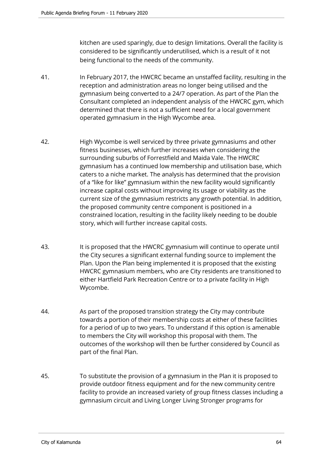kitchen are used sparingly, due to design limitations. Overall the facility is considered to be significantly underutilised, which is a result of it not being functional to the needs of the community.

- 41. In February 2017, the HWCRC became an unstaffed facility, resulting in the reception and administration areas no longer being utilised and the gymnasium being converted to a 24/7 operation. As part of the Plan the Consultant completed an independent analysis of the HWCRC gym, which determined that there is not a sufficient need for a local government operated gymnasium in the High Wycombe area.
- 42. High Wycombe is well serviced by three private gymnasiums and other fitness businesses, which further increases when considering the surrounding suburbs of Forrestfield and Maida Vale. The HWCRC gymnasium has a continued low membership and utilisation base, which caters to a niche market. The analysis has determined that the provision of a "like for like" gymnasium within the new facility would significantly increase capital costs without improving its usage or viability as the current size of the gymnasium restricts any growth potential. In addition, the proposed community centre component is positioned in a constrained location, resulting in the facility likely needing to be double story, which will further increase capital costs.
- 43. It is proposed that the HWCRC gymnasium will continue to operate until the City secures a significant external funding source to implement the Plan. Upon the Plan being implemented it is proposed that the existing HWCRC gymnasium members, who are City residents are transitioned to either Hartfield Park Recreation Centre or to a private facility in High Wycombe.
- 44. As part of the proposed transition strategy the City may contribute towards a portion of their membership costs at either of these facilities for a period of up to two years. To understand if this option is amenable to members the City will workshop this proposal with them. The outcomes of the workshop will then be further considered by Council as part of the final Plan.
- 45. To substitute the provision of a gymnasium in the Plan it is proposed to provide outdoor fitness equipment and for the new community centre facility to provide an increased variety of group fitness classes including a gymnasium circuit and Living Longer Living Stronger programs for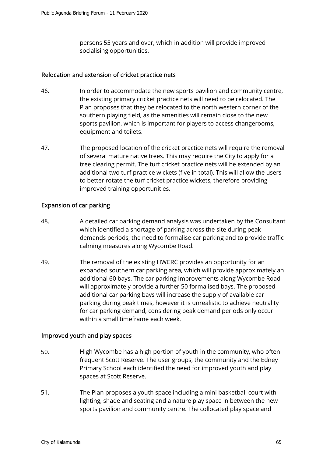persons 55 years and over, which in addition will provide improved socialising opportunities.

## Relocation and extension of cricket practice nets

- 46. In order to accommodate the new sports pavilion and community centre, the existing primary cricket practice nets will need to be relocated. The Plan proposes that they be relocated to the north western corner of the southern playing field, as the amenities will remain close to the new sports pavilion, which is important for players to access changerooms, equipment and toilets.
- 47. The proposed location of the cricket practice nets will require the removal of several mature native trees. This may require the City to apply for a tree clearing permit. The turf cricket practice nets will be extended by an additional two turf practice wickets (five in total). This will allow the users to better rotate the turf cricket practice wickets, therefore providing improved training opportunities.

## Expansion of car parking

- 48. A detailed car parking demand analysis was undertaken by the Consultant which identified a shortage of parking across the site during peak demands periods, the need to formalise car parking and to provide traffic calming measures along Wycombe Road.
- 49. The removal of the existing HWCRC provides an opportunity for an expanded southern car parking area, which will provide approximately an additional 60 bays. The car parking improvements along Wycombe Road will approximately provide a further 50 formalised bays. The proposed additional car parking bays will increase the supply of available car parking during peak times, however it is unrealistic to achieve neutrality for car parking demand, considering peak demand periods only occur within a small timeframe each week.

## Improved youth and play spaces

- 50. High Wycombe has a high portion of youth in the community, who often frequent Scott Reserve. The user groups, the community and the Edney Primary School each identified the need for improved youth and play spaces at Scott Reserve.
- 51. The Plan proposes a youth space including a mini basketball court with lighting, shade and seating and a nature play space in between the new sports pavilion and community centre. The collocated play space and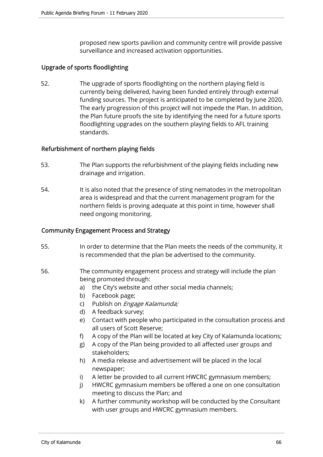proposed new sports pavilion and community centre will provide passive surveillance and increased activation opportunities.

## Upgrade of sports floodlighting

52. The upgrade of sports floodlighting on the northern playing field is currently being delivered, having been funded entirely through external funding sources. The project is anticipated to be completed by June 2020. The early progression of this project will not impede the Plan. In addition, the Plan future proofs the site by identifying the need for a future sports floodlighting upgrades on the southern playing fields to AFL training standards.

## Refurbishment of northern playing fields

- 53. The Plan supports the refurbishment of the playing fields including new drainage and irrigation.
- 54. It is also noted that the presence of sting nematodes in the metropolitan area is widespread and that the current management program for the northern fields is proving adequate at this point in time, however shall need ongoing monitoring.

## Community Engagement Process and Strategy

- 55. In order to determine that the Plan meets the needs of the community, it is recommended that the plan be advertised to the community.
- 56. The community engagement process and strategy will include the plan being promoted through:
	- a) the City's website and other social media channels;
	- b) Facebook page;
	- c) Publish on *Engage Kalamunda;*
	- d) A feedback survey;
	- e) Contact with people who participated in the consultation process and all users of Scott Reserve;
	- f) A copy of the Plan will be located at key City of Kalamunda locations;
	- g) A copy of the Plan being provided to all affected user groups and stakeholders;
	- h) A media release and advertisement will be placed in the local newspaper;
	- i) A letter be provided to all current HWCRC gymnasium members;
	- j) HWCRC gymnasium members be offered a one on one consultation meeting to discuss the Plan; and
	- k) A further community workshop will be conducted by the Consultant with user groups and HWCRC gymnasium members.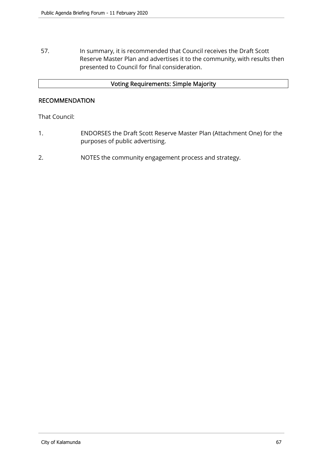57. In summary, it is recommended that Council receives the Draft Scott Reserve Master Plan and advertises it to the community, with results then presented to Council for final consideration.

## Voting Requirements: Simple Majority

## RECOMMENDATION

That Council:

- 1. ENDORSES the Draft Scott Reserve Master Plan (Attachment One) for the purposes of public advertising.
- 2. NOTES the community engagement process and strategy.